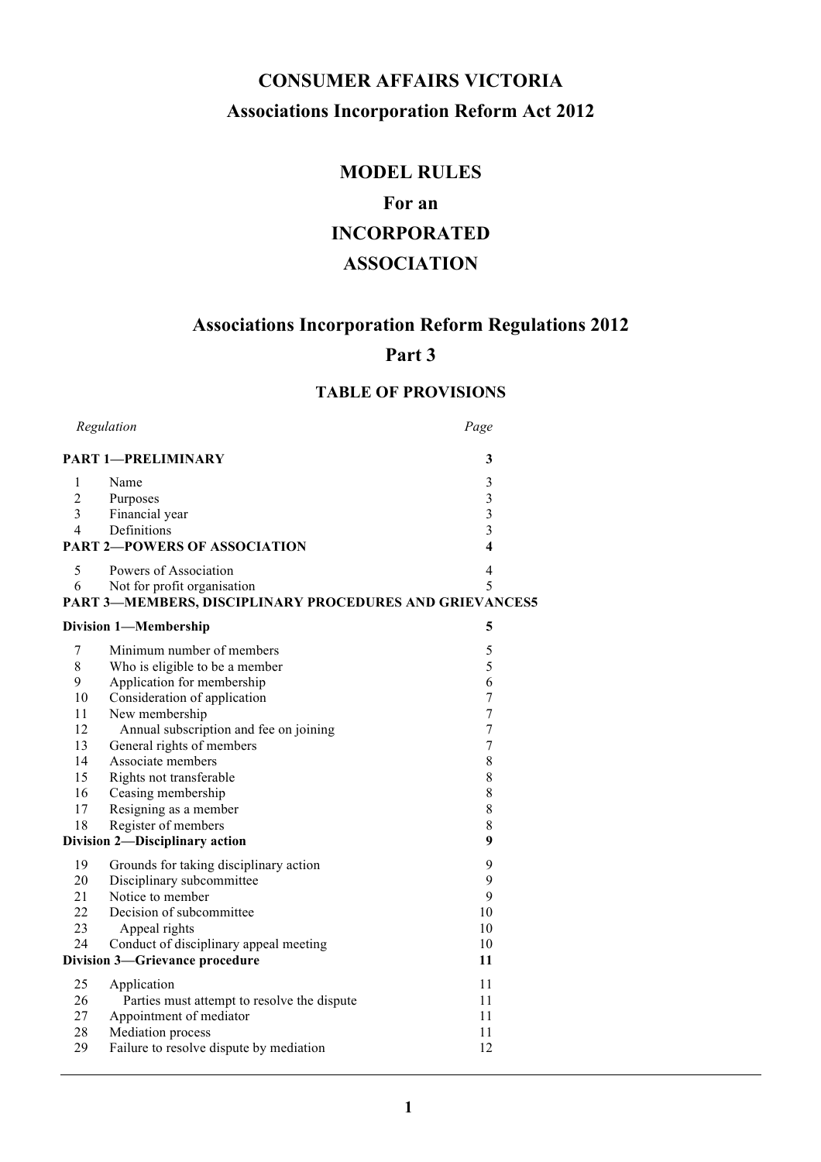# **CONSUMER AFFAIRS VICTORIA Associations Incorporation Reform Act 2012**

# **MODEL RULES**

# **For an**

# **INCORPORATED**

# **ASSOCIATION**

# **Associations Incorporation Reform Regulations 2012**

# **Part 3**

# **TABLE OF PROVISIONS**

|                | Regulation                                              | Page                    |
|----------------|---------------------------------------------------------|-------------------------|
|                | <b>PART 1-PRELIMINARY</b>                               | 3                       |
| 1              | Name                                                    | 3                       |
| $\overline{c}$ | Purposes                                                | $\overline{3}$          |
| 3              | Financial year                                          | $\overline{\mathbf{3}}$ |
| $\overline{4}$ | Definitions                                             | $\overline{\mathbf{3}}$ |
|                | <b>PART 2-POWERS OF ASSOCIATION</b>                     | $\overline{\mathbf{4}}$ |
| 5              | Powers of Association                                   | 4                       |
| 6              | Not for profit organisation                             | 5                       |
|                | PART 3-MEMBERS, DISCIPLINARY PROCEDURES AND GRIEVANCES5 |                         |
|                | <b>Division 1-Membership</b>                            | 5                       |
| 7              | Minimum number of members                               | 5                       |
| 8              | Who is eligible to be a member                          | 5                       |
| 9              | Application for membership                              | 6                       |
| 10             | Consideration of application                            | $\overline{7}$          |
| 11             | New membership                                          | $\overline{7}$          |
| 12             | Annual subscription and fee on joining                  | $\overline{7}$          |
| 13             | General rights of members                               | $\boldsymbol{7}$        |
| 14             | Associate members                                       | 8                       |
| 15             | Rights not transferable                                 | 8                       |
| 16             | Ceasing membership                                      | 8                       |
| 17             | Resigning as a member                                   | 8                       |
| 18             | Register of members                                     | 8                       |
|                | Division 2-Disciplinary action                          | 9                       |
| 19             | Grounds for taking disciplinary action                  | 9                       |
| 20             | Disciplinary subcommittee                               | 9                       |
| 21             | Notice to member                                        | 9                       |
| 22             | Decision of subcommittee                                | 10                      |
| 23             | Appeal rights                                           | 10                      |
| 24             | Conduct of disciplinary appeal meeting                  | 10                      |
|                | Division 3-Grievance procedure                          | 11                      |
| 25             | Application                                             | 11                      |
| 26             | Parties must attempt to resolve the dispute             | 11                      |
| 27             | Appointment of mediator                                 | 11                      |
| 28             | Mediation process                                       | 11                      |
| 29             | Failure to resolve dispute by mediation                 | 12                      |
|                |                                                         |                         |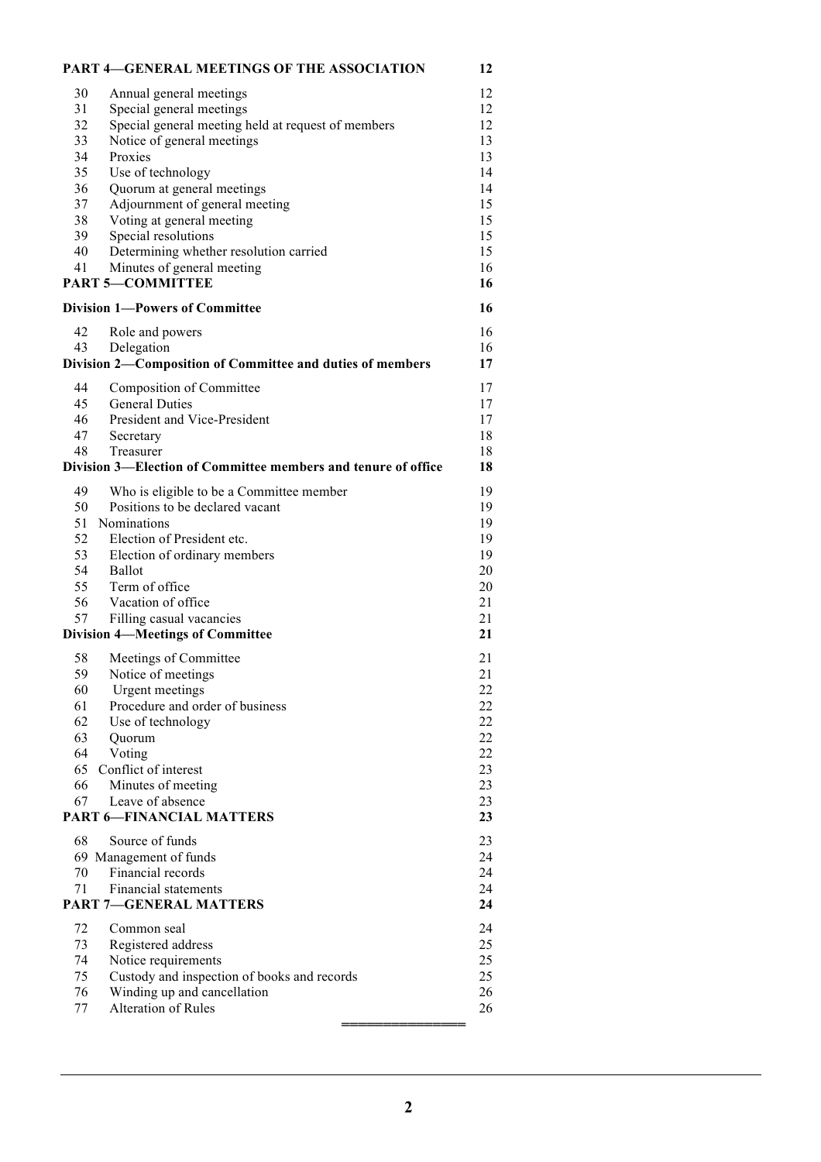|                                | <b>PART 4-GENERAL MEETINGS OF THE ASSOCIATION</b>                   | 12       |  |
|--------------------------------|---------------------------------------------------------------------|----------|--|
| 30                             | Annual general meetings                                             | 12       |  |
| 31                             | Special general meetings                                            | 12       |  |
| 32                             | Special general meeting held at request of members                  | 12       |  |
| 33                             | Notice of general meetings                                          | 13       |  |
| 34                             | Proxies                                                             | 13       |  |
| 35                             | Use of technology                                                   | 14       |  |
| 36                             | Quorum at general meetings                                          | 14       |  |
| 37                             | Adjournment of general meeting                                      | 15       |  |
| 38                             | Voting at general meeting                                           | 15       |  |
| 39                             | Special resolutions                                                 | 15       |  |
| 40                             | Determining whether resolution carried                              | 15       |  |
| 41                             | Minutes of general meeting                                          | 16       |  |
|                                | <b>PART 5-COMMITTEE</b>                                             | 16       |  |
| Division 1-Powers of Committee |                                                                     |          |  |
|                                |                                                                     | 16       |  |
| 42                             | Role and powers                                                     | 16       |  |
| 43                             | Delegation                                                          | 16       |  |
|                                | Division 2-Composition of Committee and duties of members           | 17       |  |
| 44                             | Composition of Committee                                            | 17       |  |
| 45                             | <b>General Duties</b>                                               | 17       |  |
| 46                             | President and Vice-President                                        | 17       |  |
| 47                             | Secretary                                                           | 18       |  |
| 48                             | Treasurer                                                           | 18       |  |
|                                | Division 3—Election of Committee members and tenure of office       | 18       |  |
| 49                             | Who is eligible to be a Committee member                            | 19       |  |
| 50                             | Positions to be declared vacant                                     | 19       |  |
| 51                             | Nominations                                                         | 19       |  |
| 52                             | Election of President etc.                                          | 19       |  |
| 53                             | Election of ordinary members                                        | 19       |  |
| 54                             | Ballot                                                              | 20       |  |
| 55                             | Term of office                                                      | 20       |  |
| 56                             | Vacation of office                                                  | 21       |  |
| 57                             |                                                                     | 21       |  |
|                                | Filling casual vacancies<br><b>Division 4-Meetings of Committee</b> | 21       |  |
|                                |                                                                     |          |  |
| 58                             | Meetings of Committee                                               | 21<br>21 |  |
| 59                             | Notice of meetings                                                  | 22       |  |
| 60                             | Urgent meetings<br>Procedure and order of business                  | 22       |  |
| 61                             |                                                                     |          |  |
| 62                             | Use of technology                                                   | 22       |  |
| 63                             | Quorum                                                              | 22       |  |
| 64                             | Voting                                                              | $22\,$   |  |
| 65                             | Conflict of interest                                                | 23       |  |
| 66                             | Minutes of meeting                                                  | 23       |  |
| 67                             | Leave of absence                                                    | 23       |  |
|                                | <b>PART 6-FINANCIAL MATTERS</b>                                     | 23       |  |
| 68                             | Source of funds                                                     | 23       |  |
|                                | 69 Management of funds                                              | 24       |  |
| 70                             | Financial records                                                   | 24       |  |
| 71                             | <b>Financial statements</b>                                         | 24       |  |
|                                | <b>PART 7-GENERAL MATTERS</b>                                       | 24       |  |
| 72                             | Common seal                                                         | 24       |  |
| 73                             | Registered address                                                  | 25       |  |
| 74                             | Notice requirements                                                 | 25       |  |
| 75                             | Custody and inspection of books and records                         | 25       |  |
| 76                             | Winding up and cancellation                                         | 26       |  |
| 77                             | Alteration of Rules                                                 | 26       |  |
|                                |                                                                     |          |  |
|                                |                                                                     |          |  |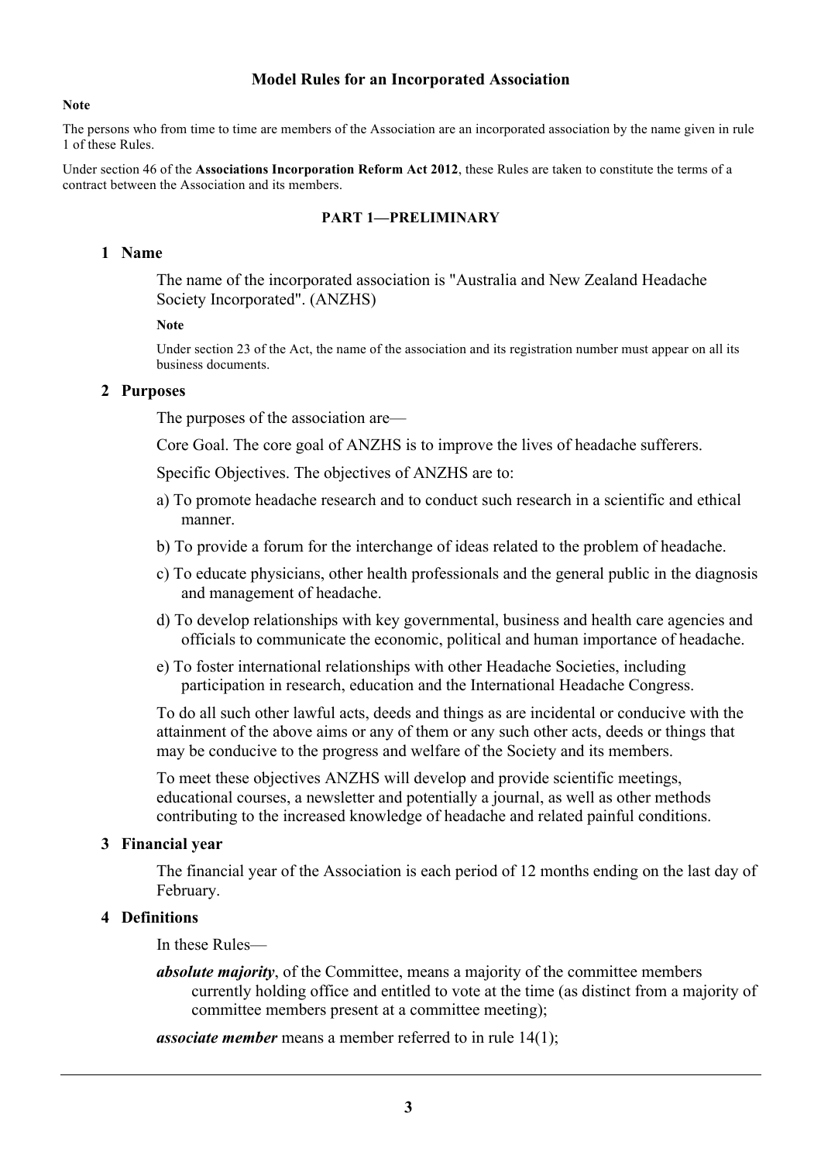#### **Model Rules for an Incorporated Association**

#### **Note**

The persons who from time to time are members of the Association are an incorporated association by the name given in rule 1 of these Rules.

Under section 46 of the **Associations Incorporation Reform Act 2012**, these Rules are taken to constitute the terms of a contract between the Association and its members.

#### **PART 1—PRELIMINARY**

#### **1 Name**

The name of the incorporated association is "Australia and New Zealand Headache Society Incorporated". (ANZHS)

#### **Note**

Under section 23 of the Act, the name of the association and its registration number must appear on all its business documents.

#### **2 Purposes**

The purposes of the association are—

Core Goal. The core goal of ANZHS is to improve the lives of headache sufferers.

Specific Objectives. The objectives of ANZHS are to:

- a) To promote headache research and to conduct such research in a scientific and ethical manner.
- b) To provide a forum for the interchange of ideas related to the problem of headache.
- c) To educate physicians, other health professionals and the general public in the diagnosis and management of headache.
- d) To develop relationships with key governmental, business and health care agencies and officials to communicate the economic, political and human importance of headache.
- e) To foster international relationships with other Headache Societies, including participation in research, education and the International Headache Congress.

To do all such other lawful acts, deeds and things as are incidental or conducive with the attainment of the above aims or any of them or any such other acts, deeds or things that may be conducive to the progress and welfare of the Society and its members.

To meet these objectives ANZHS will develop and provide scientific meetings, educational courses, a newsletter and potentially a journal, as well as other methods contributing to the increased knowledge of headache and related painful conditions.

#### **3 Financial year**

The financial year of the Association is each period of 12 months ending on the last day of February.

#### **4 Definitions**

In these Rules—

*absolute majority*, of the Committee, means a majority of the committee members currently holding office and entitled to vote at the time (as distinct from a majority of committee members present at a committee meeting);

*associate member* means a member referred to in rule 14(1);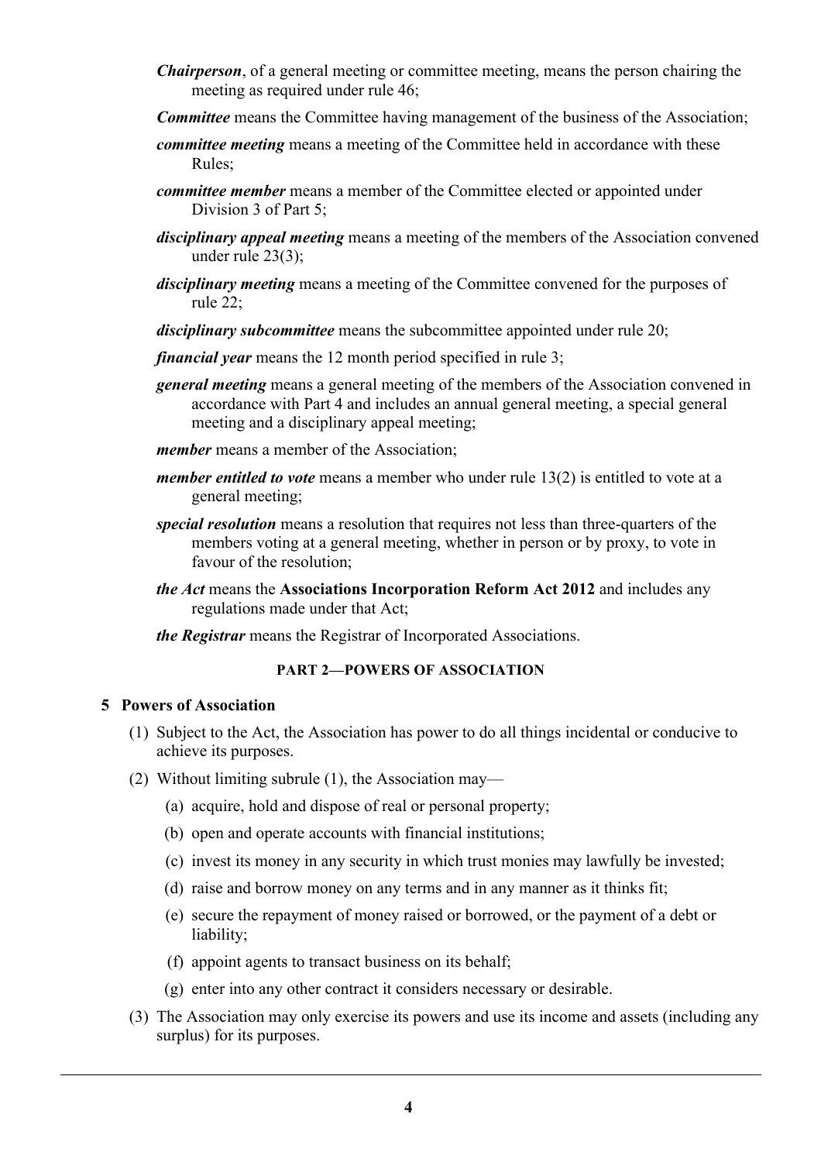- *Chairperson*, of a general meeting or committee meeting, means the person chairing the meeting as required under rule 46;
- *Committee* means the Committee having management of the business of the Association;
- *committee meeting* means a meeting of the Committee held in accordance with these Rules;
- *committee member* means a member of the Committee elected or appointed under Division 3 of Part 5;
- *disciplinary appeal meeting* means a meeting of the members of the Association convened under rule 23(3);
- *disciplinary meeting* means a meeting of the Committee convened for the purposes of rule 22;
- *disciplinary subcommittee* means the subcommittee appointed under rule 20;

*financial year* means the 12 month period specified in rule 3;

- *general meeting* means a general meeting of the members of the Association convened in accordance with Part 4 and includes an annual general meeting, a special general meeting and a disciplinary appeal meeting;
- *member* means a member of the Association;
- *member entitled to vote* means a member who under rule 13(2) is entitled to vote at a general meeting;
- *special resolution* means a resolution that requires not less than three-quarters of the members voting at a general meeting, whether in person or by proxy, to vote in favour of the resolution;
- *the Act* means the **Associations Incorporation Reform Act 2012** and includes any regulations made under that Act;
- *the Registrar* means the Registrar of Incorporated Associations.

#### **PART 2—POWERS OF ASSOCIATION**

#### **5 Powers of Association**

- (1) Subject to the Act, the Association has power to do all things incidental or conducive to achieve its purposes.
- (2) Without limiting subrule (1), the Association may—
	- (a) acquire, hold and dispose of real or personal property;
	- (b) open and operate accounts with financial institutions;
	- (c) invest its money in any security in which trust monies may lawfully be invested;
	- (d) raise and borrow money on any terms and in any manner as it thinks fit;
	- (e) secure the repayment of money raised or borrowed, or the payment of a debt or liability;
	- (f) appoint agents to transact business on its behalf;
	- (g) enter into any other contract it considers necessary or desirable.
- (3) The Association may only exercise its powers and use its income and assets (including any surplus) for its purposes.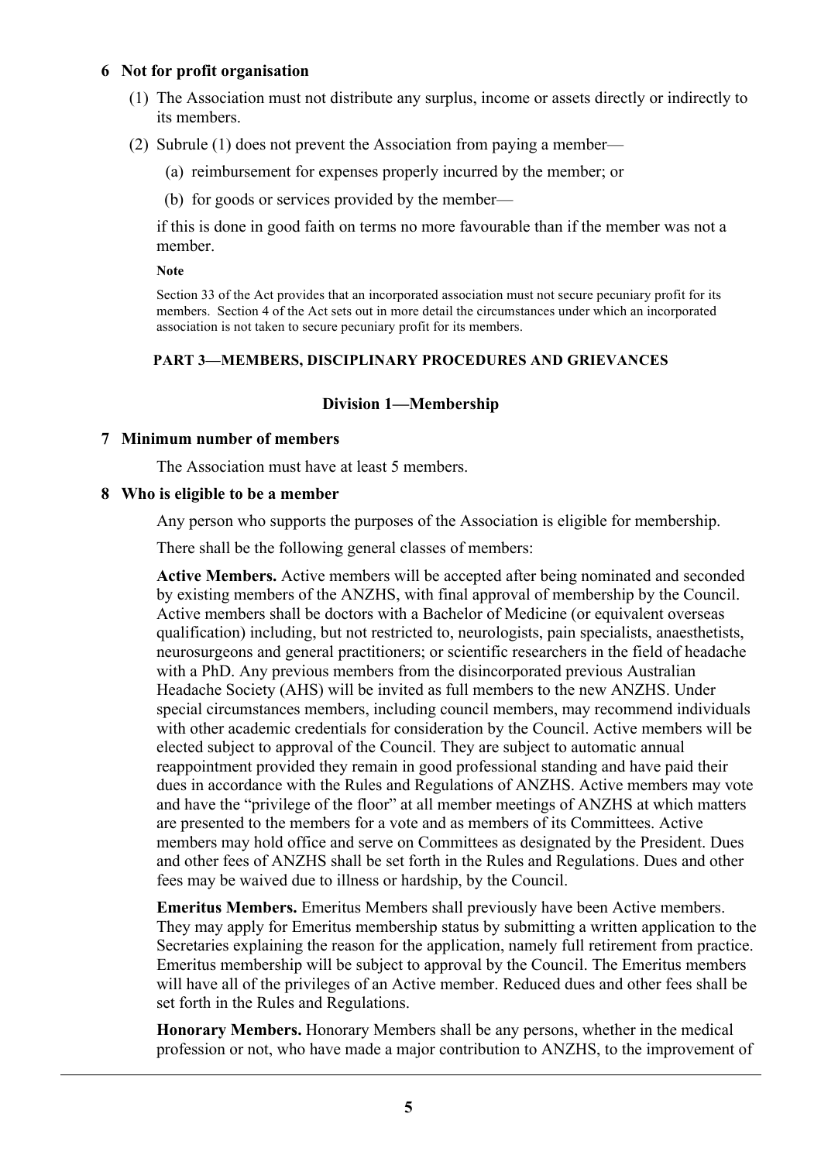## **6 Not for profit organisation**

- (1) The Association must not distribute any surplus, income or assets directly or indirectly to its members.
- (2) Subrule (1) does not prevent the Association from paying a member—
	- (a) reimbursement for expenses properly incurred by the member; or
	- (b) for goods or services provided by the member—

if this is done in good faith on terms no more favourable than if the member was not a member.

#### **Note**

Section 33 of the Act provides that an incorporated association must not secure pecuniary profit for its members. Section 4 of the Act sets out in more detail the circumstances under which an incorporated association is not taken to secure pecuniary profit for its members.

## **PART 3—MEMBERS, DISCIPLINARY PROCEDURES AND GRIEVANCES**

## **Division 1—Membership**

#### **7 Minimum number of members**

The Association must have at least 5 members.

## **8 Who is eligible to be a member**

Any person who supports the purposes of the Association is eligible for membership.

There shall be the following general classes of members:

**Active Members.** Active members will be accepted after being nominated and seconded by existing members of the ANZHS, with final approval of membership by the Council. Active members shall be doctors with a Bachelor of Medicine (or equivalent overseas qualification) including, but not restricted to, neurologists, pain specialists, anaesthetists, neurosurgeons and general practitioners; or scientific researchers in the field of headache with a PhD. Any previous members from the disincorporated previous Australian Headache Society (AHS) will be invited as full members to the new ANZHS. Under special circumstances members, including council members, may recommend individuals with other academic credentials for consideration by the Council. Active members will be elected subject to approval of the Council. They are subject to automatic annual reappointment provided they remain in good professional standing and have paid their dues in accordance with the Rules and Regulations of ANZHS. Active members may vote and have the "privilege of the floor" at all member meetings of ANZHS at which matters are presented to the members for a vote and as members of its Committees. Active members may hold office and serve on Committees as designated by the President. Dues and other fees of ANZHS shall be set forth in the Rules and Regulations. Dues and other fees may be waived due to illness or hardship, by the Council.

**Emeritus Members.** Emeritus Members shall previously have been Active members. They may apply for Emeritus membership status by submitting a written application to the Secretaries explaining the reason for the application, namely full retirement from practice. Emeritus membership will be subject to approval by the Council. The Emeritus members will have all of the privileges of an Active member. Reduced dues and other fees shall be set forth in the Rules and Regulations.

**Honorary Members.** Honorary Members shall be any persons, whether in the medical profession or not, who have made a major contribution to ANZHS, to the improvement of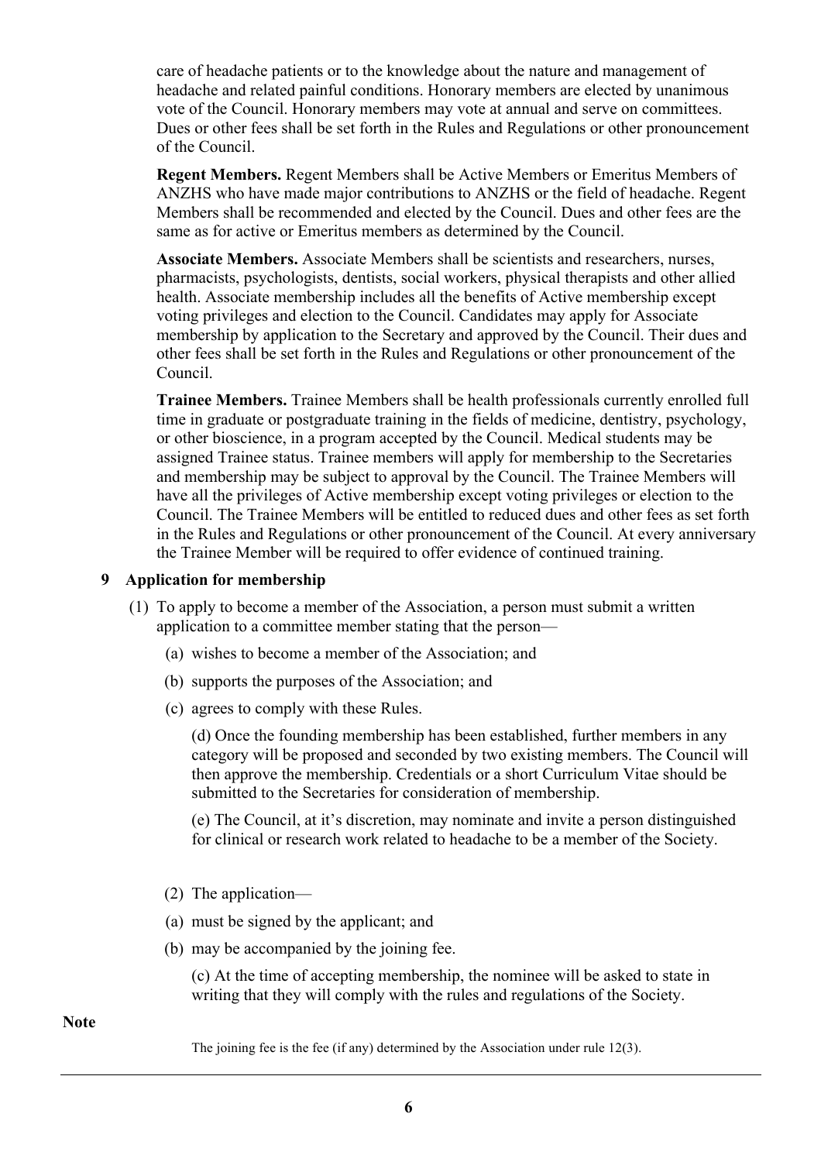care of headache patients or to the knowledge about the nature and management of headache and related painful conditions. Honorary members are elected by unanimous vote of the Council. Honorary members may vote at annual and serve on committees. Dues or other fees shall be set forth in the Rules and Regulations or other pronouncement of the Council.

**Regent Members.** Regent Members shall be Active Members or Emeritus Members of ANZHS who have made major contributions to ANZHS or the field of headache. Regent Members shall be recommended and elected by the Council. Dues and other fees are the same as for active or Emeritus members as determined by the Council.

**Associate Members.** Associate Members shall be scientists and researchers, nurses, pharmacists, psychologists, dentists, social workers, physical therapists and other allied health. Associate membership includes all the benefits of Active membership except voting privileges and election to the Council. Candidates may apply for Associate membership by application to the Secretary and approved by the Council. Their dues and other fees shall be set forth in the Rules and Regulations or other pronouncement of the Council.

**Trainee Members.** Trainee Members shall be health professionals currently enrolled full time in graduate or postgraduate training in the fields of medicine, dentistry, psychology, or other bioscience, in a program accepted by the Council. Medical students may be assigned Trainee status. Trainee members will apply for membership to the Secretaries and membership may be subject to approval by the Council. The Trainee Members will have all the privileges of Active membership except voting privileges or election to the Council. The Trainee Members will be entitled to reduced dues and other fees as set forth in the Rules and Regulations or other pronouncement of the Council. At every anniversary the Trainee Member will be required to offer evidence of continued training.

#### **9 Application for membership**

- (1) To apply to become a member of the Association, a person must submit a written application to a committee member stating that the person—
	- (a) wishes to become a member of the Association; and
	- (b) supports the purposes of the Association; and
	- (c) agrees to comply with these Rules.

(d) Once the founding membership has been established, further members in any category will be proposed and seconded by two existing members. The Council will then approve the membership. Credentials or a short Curriculum Vitae should be submitted to the Secretaries for consideration of membership.

(e) The Council, at it's discretion, may nominate and invite a person distinguished for clinical or research work related to headache to be a member of the Society.

- (2) The application—
- (a) must be signed by the applicant; and
- (b) may be accompanied by the joining fee.

(c) At the time of accepting membership, the nominee will be asked to state in writing that they will comply with the rules and regulations of the Society.

**Note**

The joining fee is the fee (if any) determined by the Association under rule 12(3).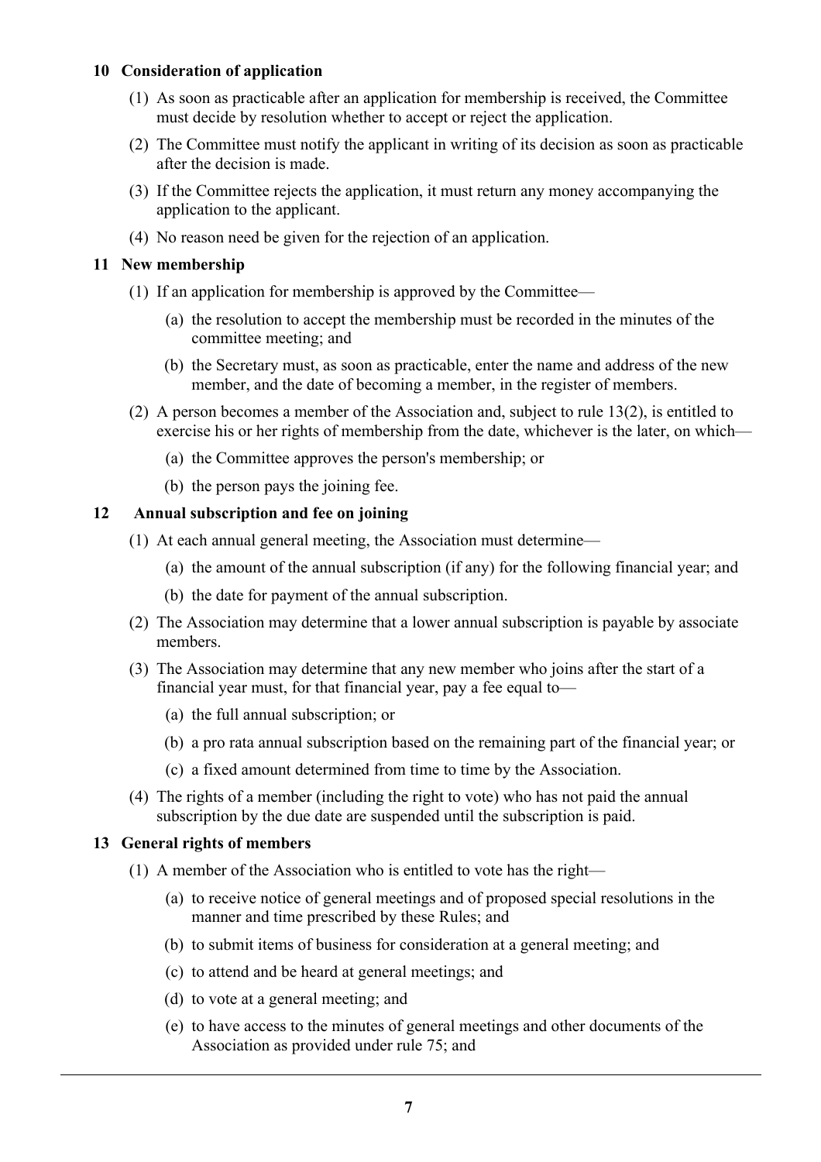## **10 Consideration of application**

- (1) As soon as practicable after an application for membership is received, the Committee must decide by resolution whether to accept or reject the application.
- (2) The Committee must notify the applicant in writing of its decision as soon as practicable after the decision is made.
- (3) If the Committee rejects the application, it must return any money accompanying the application to the applicant.
- (4) No reason need be given for the rejection of an application.

## **11 New membership**

- (1) If an application for membership is approved by the Committee—
	- (a) the resolution to accept the membership must be recorded in the minutes of the committee meeting; and
	- (b) the Secretary must, as soon as practicable, enter the name and address of the new member, and the date of becoming a member, in the register of members.
- (2) A person becomes a member of the Association and, subject to rule 13(2), is entitled to exercise his or her rights of membership from the date, whichever is the later, on which—
	- (a) the Committee approves the person's membership; or
	- (b) the person pays the joining fee.

## **12 Annual subscription and fee on joining**

- (1) At each annual general meeting, the Association must determine—
	- (a) the amount of the annual subscription (if any) for the following financial year; and
	- (b) the date for payment of the annual subscription.
- (2) The Association may determine that a lower annual subscription is payable by associate members.
- (3) The Association may determine that any new member who joins after the start of a financial year must, for that financial year, pay a fee equal to—
	- (a) the full annual subscription; or
	- (b) a pro rata annual subscription based on the remaining part of the financial year; or
	- (c) a fixed amount determined from time to time by the Association.
- (4) The rights of a member (including the right to vote) who has not paid the annual subscription by the due date are suspended until the subscription is paid.

#### **13 General rights of members**

- (1) A member of the Association who is entitled to vote has the right—
	- (a) to receive notice of general meetings and of proposed special resolutions in the manner and time prescribed by these Rules; and
	- (b) to submit items of business for consideration at a general meeting; and
	- (c) to attend and be heard at general meetings; and
	- (d) to vote at a general meeting; and
	- (e) to have access to the minutes of general meetings and other documents of the Association as provided under rule 75; and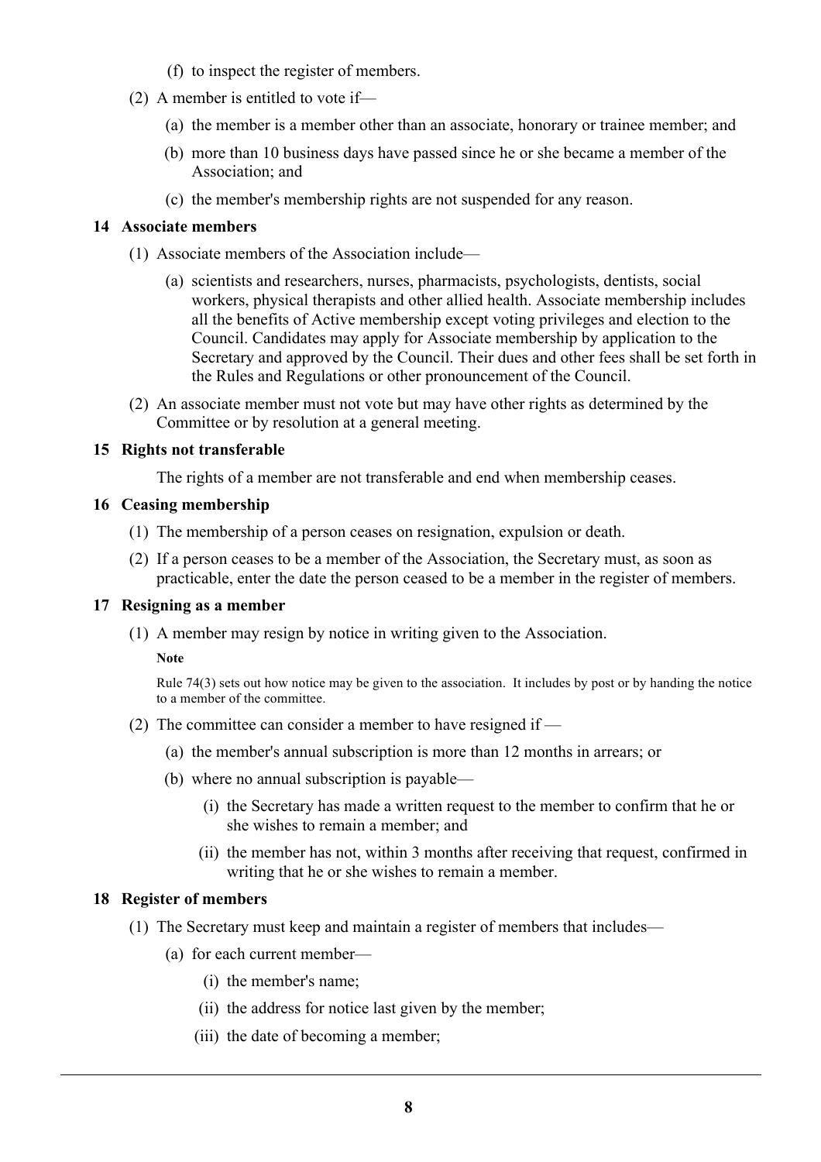- (f) to inspect the register of members.
- (2) A member is entitled to vote if—
	- (a) the member is a member other than an associate, honorary or trainee member; and
	- (b) more than 10 business days have passed since he or she became a member of the Association; and
	- (c) the member's membership rights are not suspended for any reason.

#### **14 Associate members**

- (1) Associate members of the Association include—
	- (a) scientists and researchers, nurses, pharmacists, psychologists, dentists, social workers, physical therapists and other allied health. Associate membership includes all the benefits of Active membership except voting privileges and election to the Council. Candidates may apply for Associate membership by application to the Secretary and approved by the Council. Their dues and other fees shall be set forth in the Rules and Regulations or other pronouncement of the Council.
- (2) An associate member must not vote but may have other rights as determined by the Committee or by resolution at a general meeting.

## **15 Rights not transferable**

The rights of a member are not transferable and end when membership ceases.

#### **16 Ceasing membership**

- (1) The membership of a person ceases on resignation, expulsion or death.
- (2) If a person ceases to be a member of the Association, the Secretary must, as soon as practicable, enter the date the person ceased to be a member in the register of members.

#### **17 Resigning as a member**

(1) A member may resign by notice in writing given to the Association.

#### **Note**

Rule 74(3) sets out how notice may be given to the association. It includes by post or by handing the notice to a member of the committee.

- (2) The committee can consider a member to have resigned if
	- (a) the member's annual subscription is more than 12 months in arrears; or
	- (b) where no annual subscription is payable—
		- (i) the Secretary has made a written request to the member to confirm that he or she wishes to remain a member; and
		- (ii) the member has not, within 3 months after receiving that request, confirmed in writing that he or she wishes to remain a member.

## **18 Register of members**

- (1) The Secretary must keep and maintain a register of members that includes—
	- (a) for each current member—
		- (i) the member's name;
		- (ii) the address for notice last given by the member;
		- (iii) the date of becoming a member;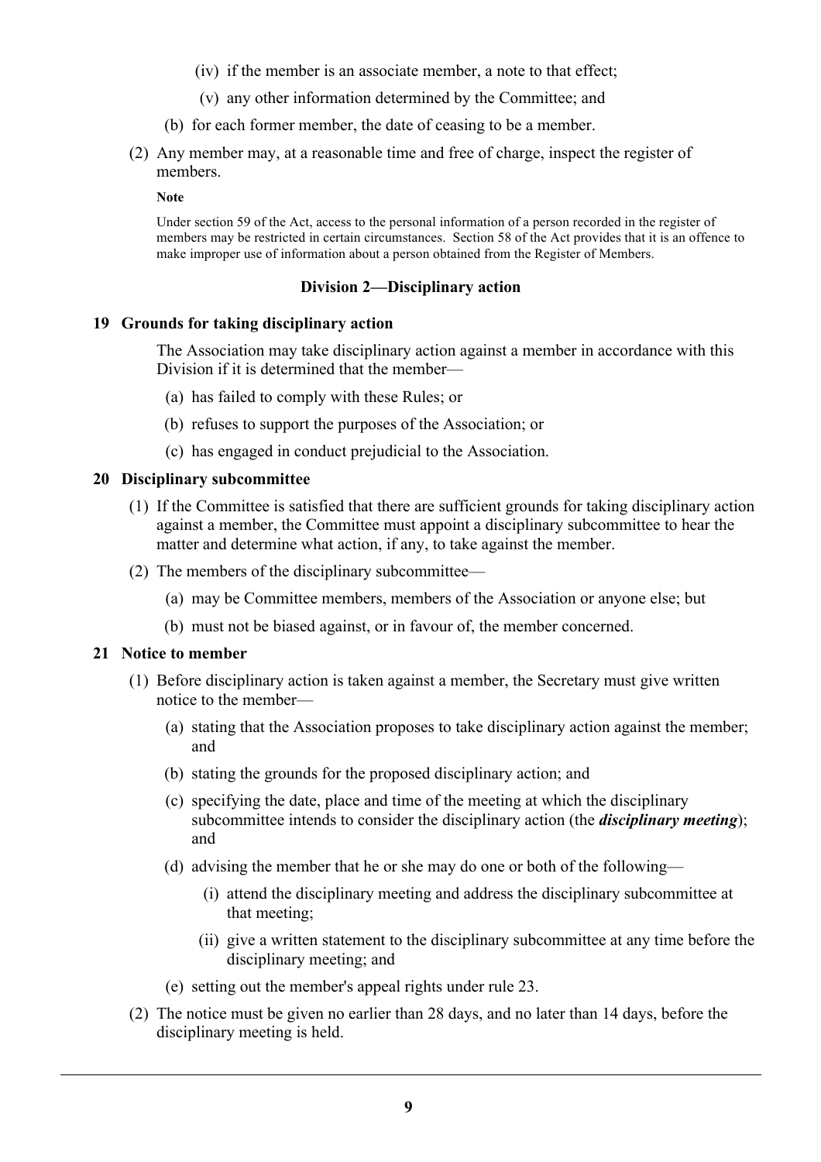- (iv) if the member is an associate member, a note to that effect;
- (v) any other information determined by the Committee; and
- (b) for each former member, the date of ceasing to be a member.
- (2) Any member may, at a reasonable time and free of charge, inspect the register of members.

**Note**

Under section 59 of the Act, access to the personal information of a person recorded in the register of members may be restricted in certain circumstances. Section 58 of the Act provides that it is an offence to make improper use of information about a person obtained from the Register of Members.

## **Division 2—Disciplinary action**

## **19 Grounds for taking disciplinary action**

The Association may take disciplinary action against a member in accordance with this Division if it is determined that the member—

- (a) has failed to comply with these Rules; or
- (b) refuses to support the purposes of the Association; or
- (c) has engaged in conduct prejudicial to the Association.

## **20 Disciplinary subcommittee**

- (1) If the Committee is satisfied that there are sufficient grounds for taking disciplinary action against a member, the Committee must appoint a disciplinary subcommittee to hear the matter and determine what action, if any, to take against the member.
- (2) The members of the disciplinary subcommittee—
	- (a) may be Committee members, members of the Association or anyone else; but
	- (b) must not be biased against, or in favour of, the member concerned.

#### **21 Notice to member**

- (1) Before disciplinary action is taken against a member, the Secretary must give written notice to the member—
	- (a) stating that the Association proposes to take disciplinary action against the member; and
	- (b) stating the grounds for the proposed disciplinary action; and
	- (c) specifying the date, place and time of the meeting at which the disciplinary subcommittee intends to consider the disciplinary action (the *disciplinary meeting*); and
	- (d) advising the member that he or she may do one or both of the following—
		- (i) attend the disciplinary meeting and address the disciplinary subcommittee at that meeting;
		- (ii) give a written statement to the disciplinary subcommittee at any time before the disciplinary meeting; and
	- (e) setting out the member's appeal rights under rule 23.
- (2) The notice must be given no earlier than 28 days, and no later than 14 days, before the disciplinary meeting is held.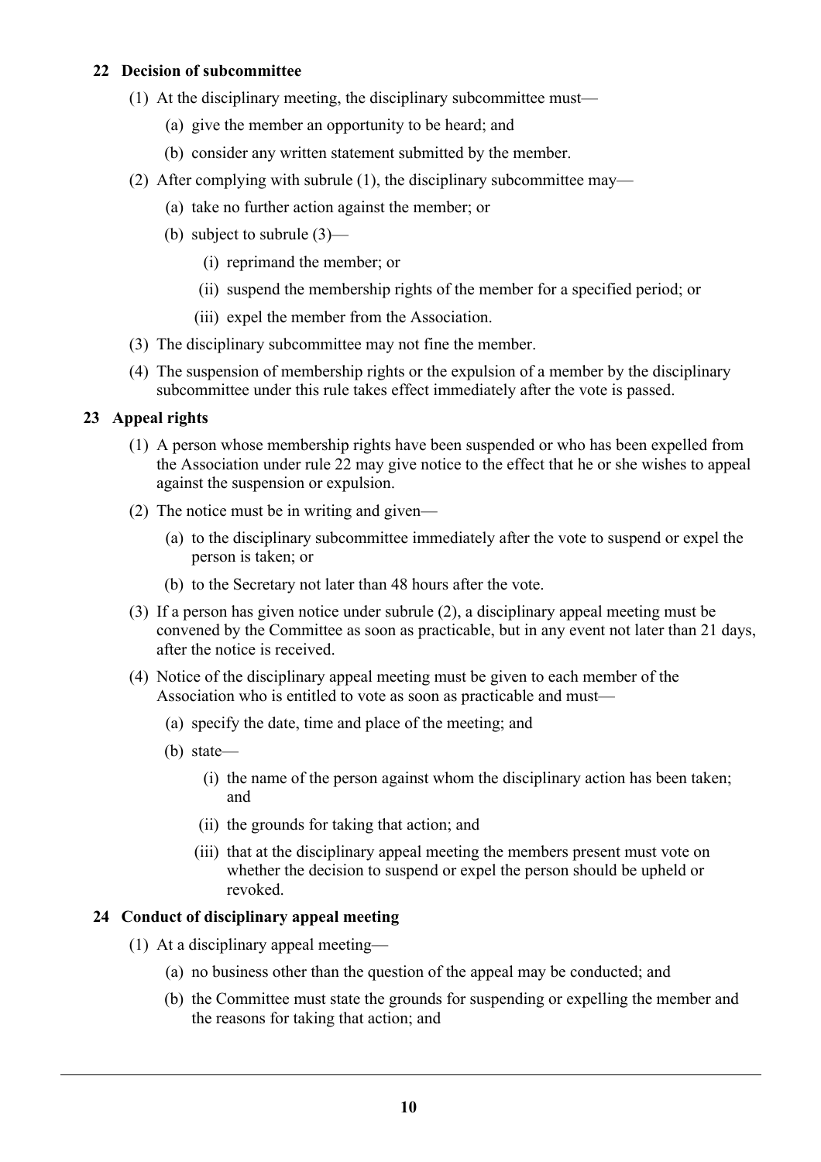## **22 Decision of subcommittee**

- (1) At the disciplinary meeting, the disciplinary subcommittee must—
	- (a) give the member an opportunity to be heard; and
	- (b) consider any written statement submitted by the member.
- (2) After complying with subrule (1), the disciplinary subcommittee may—
	- (a) take no further action against the member; or
	- (b) subject to subrule (3)—
		- (i) reprimand the member; or
		- (ii) suspend the membership rights of the member for a specified period; or
		- (iii) expel the member from the Association.
- (3) The disciplinary subcommittee may not fine the member.
- (4) The suspension of membership rights or the expulsion of a member by the disciplinary subcommittee under this rule takes effect immediately after the vote is passed.

# **23 Appeal rights**

- (1) A person whose membership rights have been suspended or who has been expelled from the Association under rule 22 may give notice to the effect that he or she wishes to appeal against the suspension or expulsion.
- (2) The notice must be in writing and given—
	- (a) to the disciplinary subcommittee immediately after the vote to suspend or expel the person is taken; or
	- (b) to the Secretary not later than 48 hours after the vote.
- (3) If a person has given notice under subrule (2), a disciplinary appeal meeting must be convened by the Committee as soon as practicable, but in any event not later than 21 days, after the notice is received.
- (4) Notice of the disciplinary appeal meeting must be given to each member of the Association who is entitled to vote as soon as practicable and must—
	- (a) specify the date, time and place of the meeting; and
	- (b) state—
		- (i) the name of the person against whom the disciplinary action has been taken; and
		- (ii) the grounds for taking that action; and
		- (iii) that at the disciplinary appeal meeting the members present must vote on whether the decision to suspend or expel the person should be upheld or revoked.

# **24 Conduct of disciplinary appeal meeting**

- (1) At a disciplinary appeal meeting—
	- (a) no business other than the question of the appeal may be conducted; and
	- (b) the Committee must state the grounds for suspending or expelling the member and the reasons for taking that action; and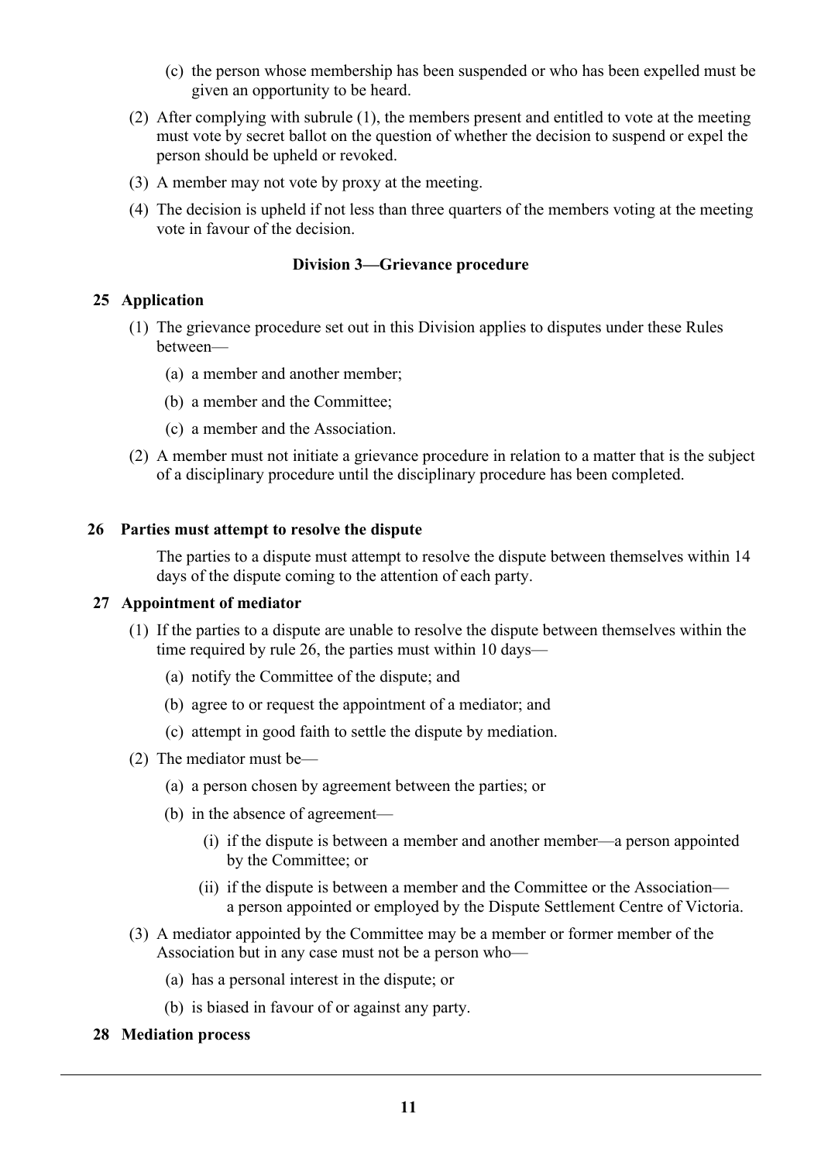- (c) the person whose membership has been suspended or who has been expelled must be given an opportunity to be heard.
- (2) After complying with subrule (1), the members present and entitled to vote at the meeting must vote by secret ballot on the question of whether the decision to suspend or expel the person should be upheld or revoked.
- (3) A member may not vote by proxy at the meeting.
- (4) The decision is upheld if not less than three quarters of the members voting at the meeting vote in favour of the decision.

## **Division 3—Grievance procedure**

## **25 Application**

- (1) The grievance procedure set out in this Division applies to disputes under these Rules between—
	- (a) a member and another member;
	- (b) a member and the Committee;
	- (c) a member and the Association.
- (2) A member must not initiate a grievance procedure in relation to a matter that is the subject of a disciplinary procedure until the disciplinary procedure has been completed.

#### **26 Parties must attempt to resolve the dispute**

The parties to a dispute must attempt to resolve the dispute between themselves within 14 days of the dispute coming to the attention of each party.

#### **27 Appointment of mediator**

- (1) If the parties to a dispute are unable to resolve the dispute between themselves within the time required by rule 26, the parties must within 10 days—
	- (a) notify the Committee of the dispute; and
	- (b) agree to or request the appointment of a mediator; and
	- (c) attempt in good faith to settle the dispute by mediation.
- (2) The mediator must be—
	- (a) a person chosen by agreement between the parties; or
	- (b) in the absence of agreement—
		- (i) if the dispute is between a member and another member—a person appointed by the Committee; or
		- (ii) if the dispute is between a member and the Committee or the Association a person appointed or employed by the Dispute Settlement Centre of Victoria.
- (3) A mediator appointed by the Committee may be a member or former member of the Association but in any case must not be a person who—
	- (a) has a personal interest in the dispute; or
	- (b) is biased in favour of or against any party.
- **28 Mediation process**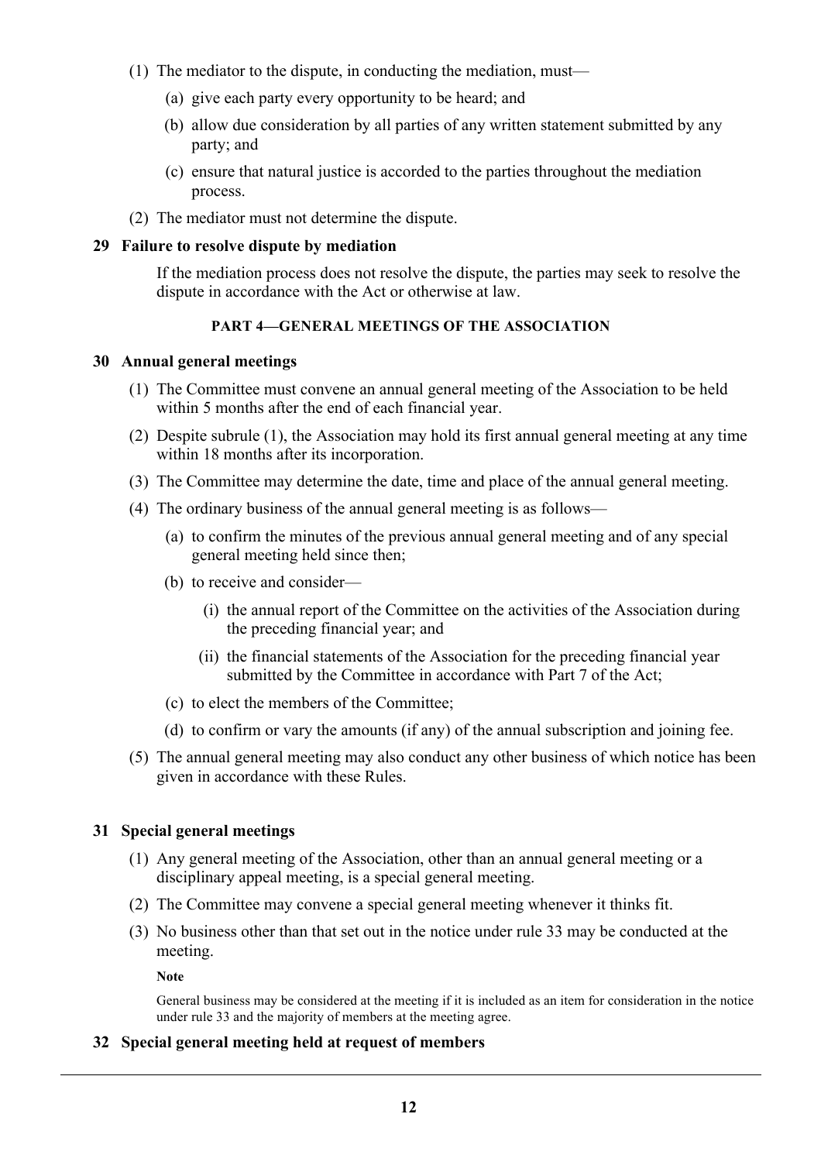- (1) The mediator to the dispute, in conducting the mediation, must—
	- (a) give each party every opportunity to be heard; and
	- (b) allow due consideration by all parties of any written statement submitted by any party; and
	- (c) ensure that natural justice is accorded to the parties throughout the mediation process.
- (2) The mediator must not determine the dispute.

#### **29 Failure to resolve dispute by mediation**

If the mediation process does not resolve the dispute, the parties may seek to resolve the dispute in accordance with the Act or otherwise at law.

# **PART 4—GENERAL MEETINGS OF THE ASSOCIATION**

## **30 Annual general meetings**

- (1) The Committee must convene an annual general meeting of the Association to be held within 5 months after the end of each financial year.
- (2) Despite subrule (1), the Association may hold its first annual general meeting at any time within 18 months after its incorporation.
- (3) The Committee may determine the date, time and place of the annual general meeting.
- (4) The ordinary business of the annual general meeting is as follows—
	- (a) to confirm the minutes of the previous annual general meeting and of any special general meeting held since then;
	- (b) to receive and consider—
		- (i) the annual report of the Committee on the activities of the Association during the preceding financial year; and
		- (ii) the financial statements of the Association for the preceding financial year submitted by the Committee in accordance with Part 7 of the Act;
	- (c) to elect the members of the Committee;
	- (d) to confirm or vary the amounts (if any) of the annual subscription and joining fee.
- (5) The annual general meeting may also conduct any other business of which notice has been given in accordance with these Rules.

## **31 Special general meetings**

- (1) Any general meeting of the Association, other than an annual general meeting or a disciplinary appeal meeting, is a special general meeting.
- (2) The Committee may convene a special general meeting whenever it thinks fit.
- (3) No business other than that set out in the notice under rule 33 may be conducted at the meeting.

**Note**

General business may be considered at the meeting if it is included as an item for consideration in the notice under rule 33 and the majority of members at the meeting agree.

## **32 Special general meeting held at request of members**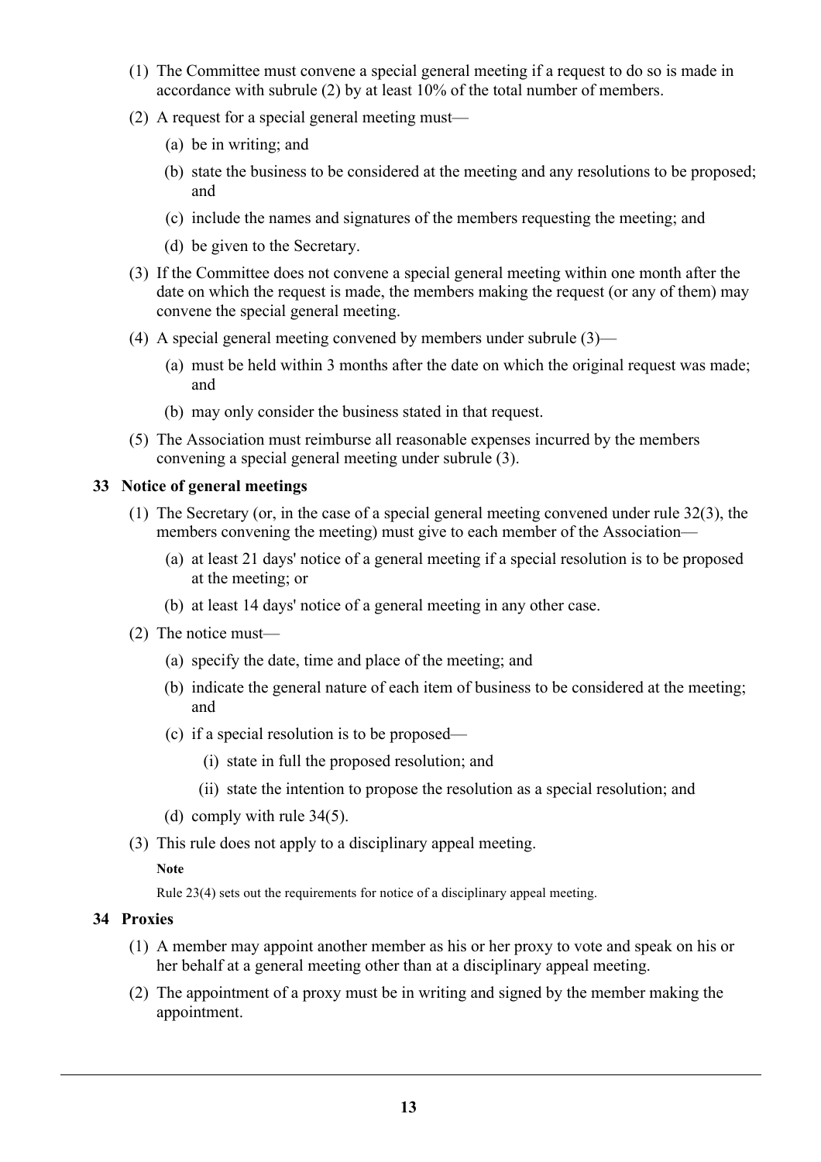- (1) The Committee must convene a special general meeting if a request to do so is made in accordance with subrule (2) by at least 10% of the total number of members.
- (2) A request for a special general meeting must—
	- (a) be in writing; and
	- (b) state the business to be considered at the meeting and any resolutions to be proposed; and
	- (c) include the names and signatures of the members requesting the meeting; and
	- (d) be given to the Secretary.
- (3) If the Committee does not convene a special general meeting within one month after the date on which the request is made, the members making the request (or any of them) may convene the special general meeting.
- (4) A special general meeting convened by members under subrule (3)—
	- (a) must be held within 3 months after the date on which the original request was made; and
	- (b) may only consider the business stated in that request.
- (5) The Association must reimburse all reasonable expenses incurred by the members convening a special general meeting under subrule (3).

## **33 Notice of general meetings**

- (1) The Secretary (or, in the case of a special general meeting convened under rule 32(3), the members convening the meeting) must give to each member of the Association—
	- (a) at least 21 days' notice of a general meeting if a special resolution is to be proposed at the meeting; or
	- (b) at least 14 days' notice of a general meeting in any other case.
- (2) The notice must—
	- (a) specify the date, time and place of the meeting; and
	- (b) indicate the general nature of each item of business to be considered at the meeting; and
	- (c) if a special resolution is to be proposed—
		- (i) state in full the proposed resolution; and
		- (ii) state the intention to propose the resolution as a special resolution; and
	- (d) comply with rule 34(5).
- (3) This rule does not apply to a disciplinary appeal meeting.

#### **Note**

Rule 23(4) sets out the requirements for notice of a disciplinary appeal meeting.

## **34 Proxies**

- (1) A member may appoint another member as his or her proxy to vote and speak on his or her behalf at a general meeting other than at a disciplinary appeal meeting.
- (2) The appointment of a proxy must be in writing and signed by the member making the appointment.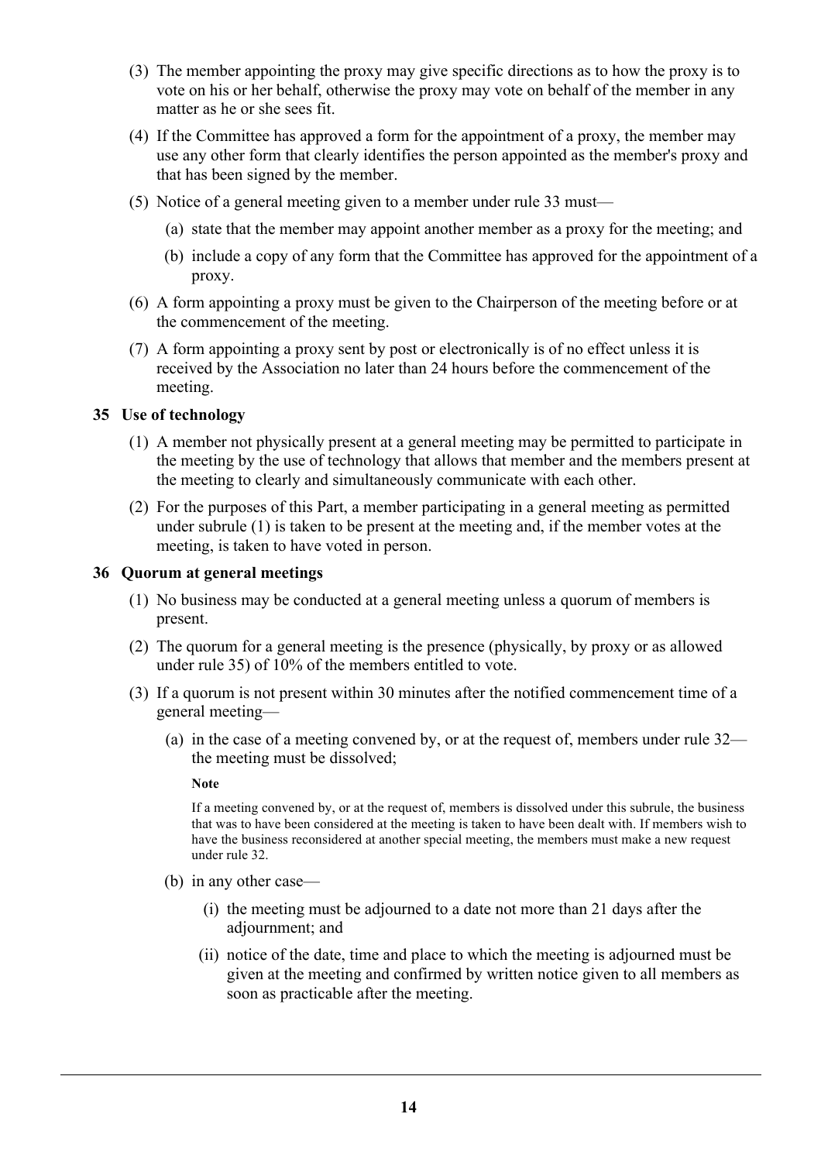- (3) The member appointing the proxy may give specific directions as to how the proxy is to vote on his or her behalf, otherwise the proxy may vote on behalf of the member in any matter as he or she sees fit.
- (4) If the Committee has approved a form for the appointment of a proxy, the member may use any other form that clearly identifies the person appointed as the member's proxy and that has been signed by the member.
- (5) Notice of a general meeting given to a member under rule 33 must—
	- (a) state that the member may appoint another member as a proxy for the meeting; and
	- (b) include a copy of any form that the Committee has approved for the appointment of a proxy.
- (6) A form appointing a proxy must be given to the Chairperson of the meeting before or at the commencement of the meeting.
- (7) A form appointing a proxy sent by post or electronically is of no effect unless it is received by the Association no later than 24 hours before the commencement of the meeting.

## **35 Use of technology**

- (1) A member not physically present at a general meeting may be permitted to participate in the meeting by the use of technology that allows that member and the members present at the meeting to clearly and simultaneously communicate with each other.
- (2) For the purposes of this Part, a member participating in a general meeting as permitted under subrule (1) is taken to be present at the meeting and, if the member votes at the meeting, is taken to have voted in person.

#### **36 Quorum at general meetings**

- (1) No business may be conducted at a general meeting unless a quorum of members is present.
- (2) The quorum for a general meeting is the presence (physically, by proxy or as allowed under rule 35) of 10% of the members entitled to vote.
- (3) If a quorum is not present within 30 minutes after the notified commencement time of a general meeting—
	- (a) in the case of a meeting convened by, or at the request of, members under rule 32 the meeting must be dissolved;

#### **Note**

If a meeting convened by, or at the request of, members is dissolved under this subrule, the business that was to have been considered at the meeting is taken to have been dealt with. If members wish to have the business reconsidered at another special meeting, the members must make a new request under rule 32.

- (b) in any other case—
	- (i) the meeting must be adjourned to a date not more than 21 days after the adjournment; and
	- (ii) notice of the date, time and place to which the meeting is adjourned must be given at the meeting and confirmed by written notice given to all members as soon as practicable after the meeting.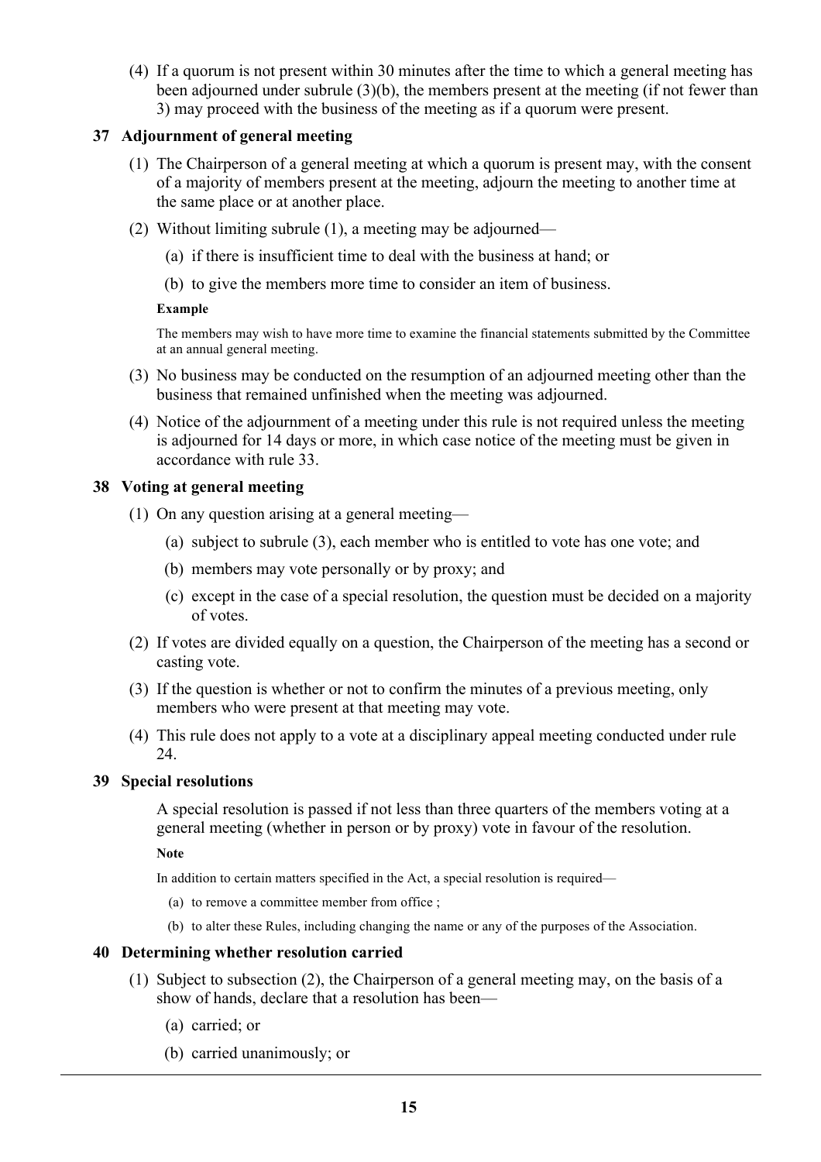(4) If a quorum is not present within 30 minutes after the time to which a general meeting has been adjourned under subrule (3)(b), the members present at the meeting (if not fewer than 3) may proceed with the business of the meeting as if a quorum were present.

## **37 Adjournment of general meeting**

- (1) The Chairperson of a general meeting at which a quorum is present may, with the consent of a majority of members present at the meeting, adjourn the meeting to another time at the same place or at another place.
- (2) Without limiting subrule (1), a meeting may be adjourned—
	- (a) if there is insufficient time to deal with the business at hand; or
	- (b) to give the members more time to consider an item of business.

#### **Example**

The members may wish to have more time to examine the financial statements submitted by the Committee at an annual general meeting.

- (3) No business may be conducted on the resumption of an adjourned meeting other than the business that remained unfinished when the meeting was adjourned.
- (4) Notice of the adjournment of a meeting under this rule is not required unless the meeting is adjourned for 14 days or more, in which case notice of the meeting must be given in accordance with rule 33.

## **38 Voting at general meeting**

- (1) On any question arising at a general meeting—
	- (a) subject to subrule (3), each member who is entitled to vote has one vote; and
	- (b) members may vote personally or by proxy; and
	- (c) except in the case of a special resolution, the question must be decided on a majority of votes.
- (2) If votes are divided equally on a question, the Chairperson of the meeting has a second or casting vote.
- (3) If the question is whether or not to confirm the minutes of a previous meeting, only members who were present at that meeting may vote.
- (4) This rule does not apply to a vote at a disciplinary appeal meeting conducted under rule 24.

## **39 Special resolutions**

A special resolution is passed if not less than three quarters of the members voting at a general meeting (whether in person or by proxy) vote in favour of the resolution.

**Note**

In addition to certain matters specified in the Act, a special resolution is required—

- (a) to remove a committee member from office ;
- (b) to alter these Rules, including changing the name or any of the purposes of the Association.

## **40 Determining whether resolution carried**

- (1) Subject to subsection (2), the Chairperson of a general meeting may, on the basis of a show of hands, declare that a resolution has been—
	- (a) carried; or
	- (b) carried unanimously; or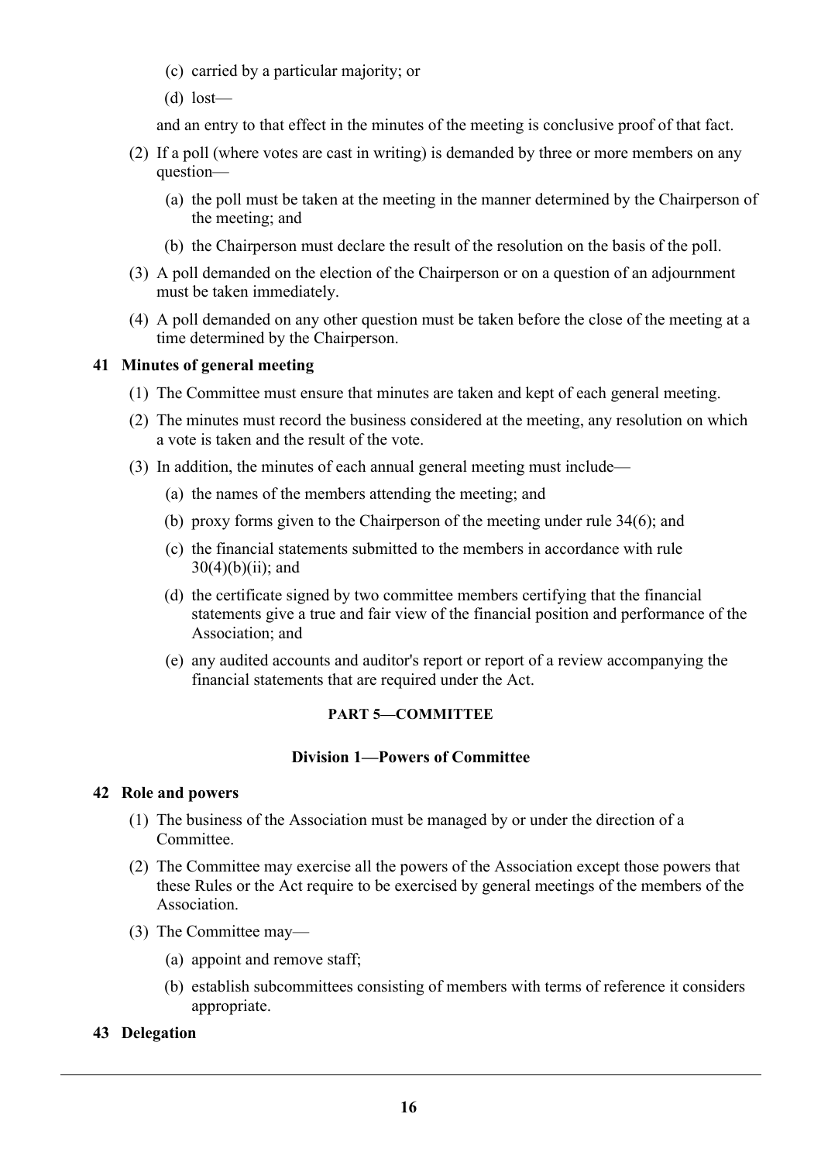- (c) carried by a particular majority; or
- (d) lost—

and an entry to that effect in the minutes of the meeting is conclusive proof of that fact.

- (2) If a poll (where votes are cast in writing) is demanded by three or more members on any question—
	- (a) the poll must be taken at the meeting in the manner determined by the Chairperson of the meeting; and
	- (b) the Chairperson must declare the result of the resolution on the basis of the poll.
- (3) A poll demanded on the election of the Chairperson or on a question of an adjournment must be taken immediately.
- (4) A poll demanded on any other question must be taken before the close of the meeting at a time determined by the Chairperson.

## **41 Minutes of general meeting**

- (1) The Committee must ensure that minutes are taken and kept of each general meeting.
- (2) The minutes must record the business considered at the meeting, any resolution on which a vote is taken and the result of the vote.
- (3) In addition, the minutes of each annual general meeting must include—
	- (a) the names of the members attending the meeting; and
	- (b) proxy forms given to the Chairperson of the meeting under rule 34(6); and
	- (c) the financial statements submitted to the members in accordance with rule  $30(4)(b)(ii)$ ; and
	- (d) the certificate signed by two committee members certifying that the financial statements give a true and fair view of the financial position and performance of the Association; and
	- (e) any audited accounts and auditor's report or report of a review accompanying the financial statements that are required under the Act.

#### **PART 5—COMMITTEE**

#### **Division 1—Powers of Committee**

#### **42 Role and powers**

- (1) The business of the Association must be managed by or under the direction of a Committee.
- (2) The Committee may exercise all the powers of the Association except those powers that these Rules or the Act require to be exercised by general meetings of the members of the Association.
- (3) The Committee may—
	- (a) appoint and remove staff;
	- (b) establish subcommittees consisting of members with terms of reference it considers appropriate.

#### **43 Delegation**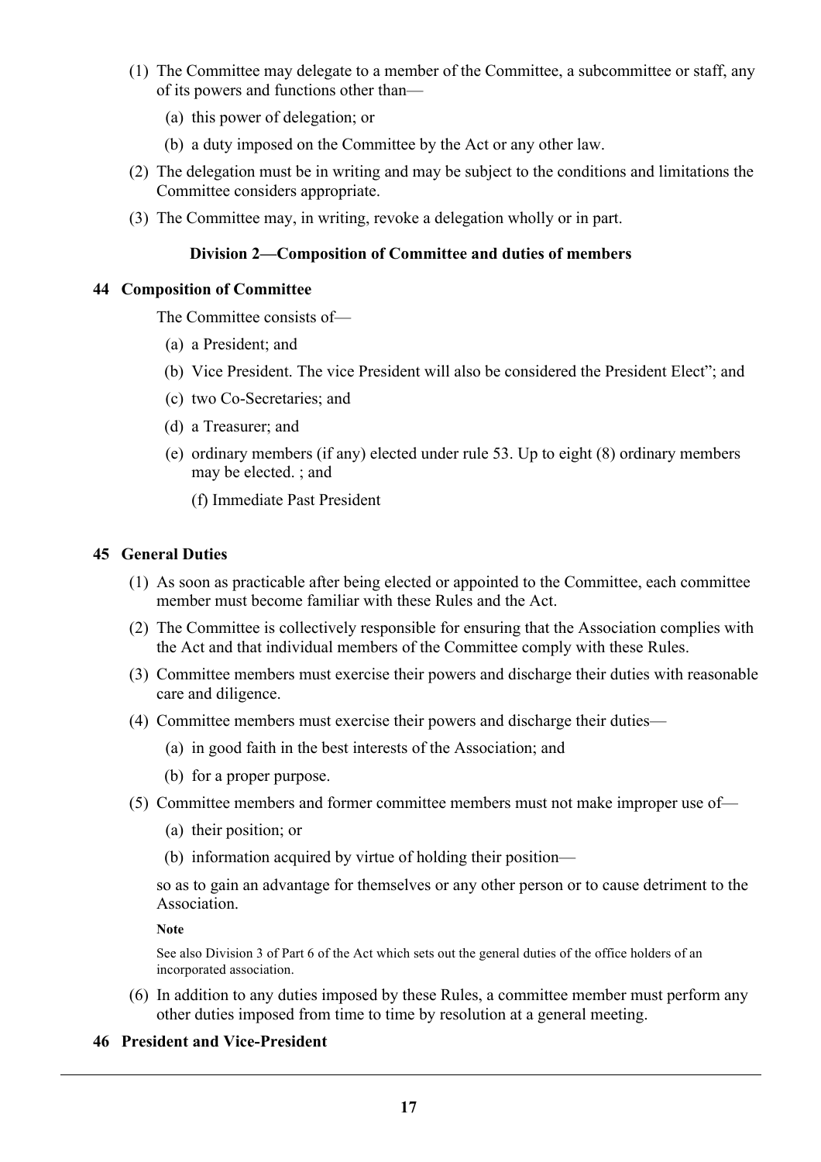- (1) The Committee may delegate to a member of the Committee, a subcommittee or staff, any of its powers and functions other than—
	- (a) this power of delegation; or
	- (b) a duty imposed on the Committee by the Act or any other law.
- (2) The delegation must be in writing and may be subject to the conditions and limitations the Committee considers appropriate.
- (3) The Committee may, in writing, revoke a delegation wholly or in part.

## **Division 2—Composition of Committee and duties of members**

#### **44 Composition of Committee**

The Committee consists of—

- (a) a President; and
- (b) Vice President. The vice President will also be considered the President Elect"; and
- (c) two Co-Secretaries; and
- (d) a Treasurer; and
- (e) ordinary members (if any) elected under rule 53. Up to eight (8) ordinary members may be elected. ; and
	- (f) Immediate Past President

## **45 General Duties**

- (1) As soon as practicable after being elected or appointed to the Committee, each committee member must become familiar with these Rules and the Act.
- (2) The Committee is collectively responsible for ensuring that the Association complies with the Act and that individual members of the Committee comply with these Rules.
- (3) Committee members must exercise their powers and discharge their duties with reasonable care and diligence.
- (4) Committee members must exercise their powers and discharge their duties—
	- (a) in good faith in the best interests of the Association; and
	- (b) for a proper purpose.
- (5) Committee members and former committee members must not make improper use of—
	- (a) their position; or
	- (b) information acquired by virtue of holding their position—

so as to gain an advantage for themselves or any other person or to cause detriment to the Association.

**Note**

See also Division 3 of Part 6 of the Act which sets out the general duties of the office holders of an incorporated association.

(6) In addition to any duties imposed by these Rules, a committee member must perform any other duties imposed from time to time by resolution at a general meeting.

#### **46 President and Vice-President**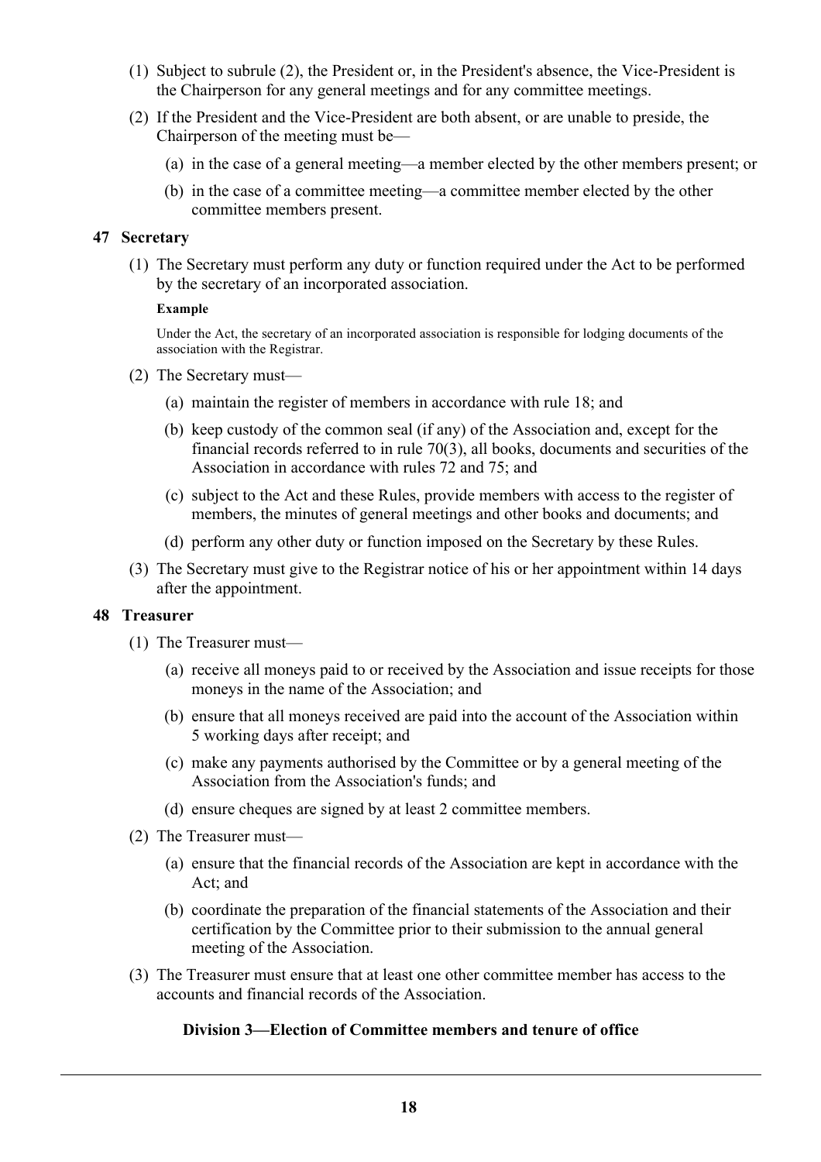- (1) Subject to subrule (2), the President or, in the President's absence, the Vice-President is the Chairperson for any general meetings and for any committee meetings.
- (2) If the President and the Vice-President are both absent, or are unable to preside, the Chairperson of the meeting must be—
	- (a) in the case of a general meeting—a member elected by the other members present; or
	- (b) in the case of a committee meeting—a committee member elected by the other committee members present.

#### **47 Secretary**

(1) The Secretary must perform any duty or function required under the Act to be performed by the secretary of an incorporated association.

#### **Example**

Under the Act, the secretary of an incorporated association is responsible for lodging documents of the association with the Registrar.

- (2) The Secretary must—
	- (a) maintain the register of members in accordance with rule 18; and
	- (b) keep custody of the common seal (if any) of the Association and, except for the financial records referred to in rule 70(3), all books, documents and securities of the Association in accordance with rules 72 and 75; and
	- (c) subject to the Act and these Rules, provide members with access to the register of members, the minutes of general meetings and other books and documents; and
	- (d) perform any other duty or function imposed on the Secretary by these Rules.
- (3) The Secretary must give to the Registrar notice of his or her appointment within 14 days after the appointment.

#### **48 Treasurer**

- (1) The Treasurer must—
	- (a) receive all moneys paid to or received by the Association and issue receipts for those moneys in the name of the Association; and
	- (b) ensure that all moneys received are paid into the account of the Association within 5 working days after receipt; and
	- (c) make any payments authorised by the Committee or by a general meeting of the Association from the Association's funds; and
	- (d) ensure cheques are signed by at least 2 committee members.
- (2) The Treasurer must—
	- (a) ensure that the financial records of the Association are kept in accordance with the Act; and
	- (b) coordinate the preparation of the financial statements of the Association and their certification by the Committee prior to their submission to the annual general meeting of the Association.
- (3) The Treasurer must ensure that at least one other committee member has access to the accounts and financial records of the Association.

## **Division 3—Election of Committee members and tenure of office**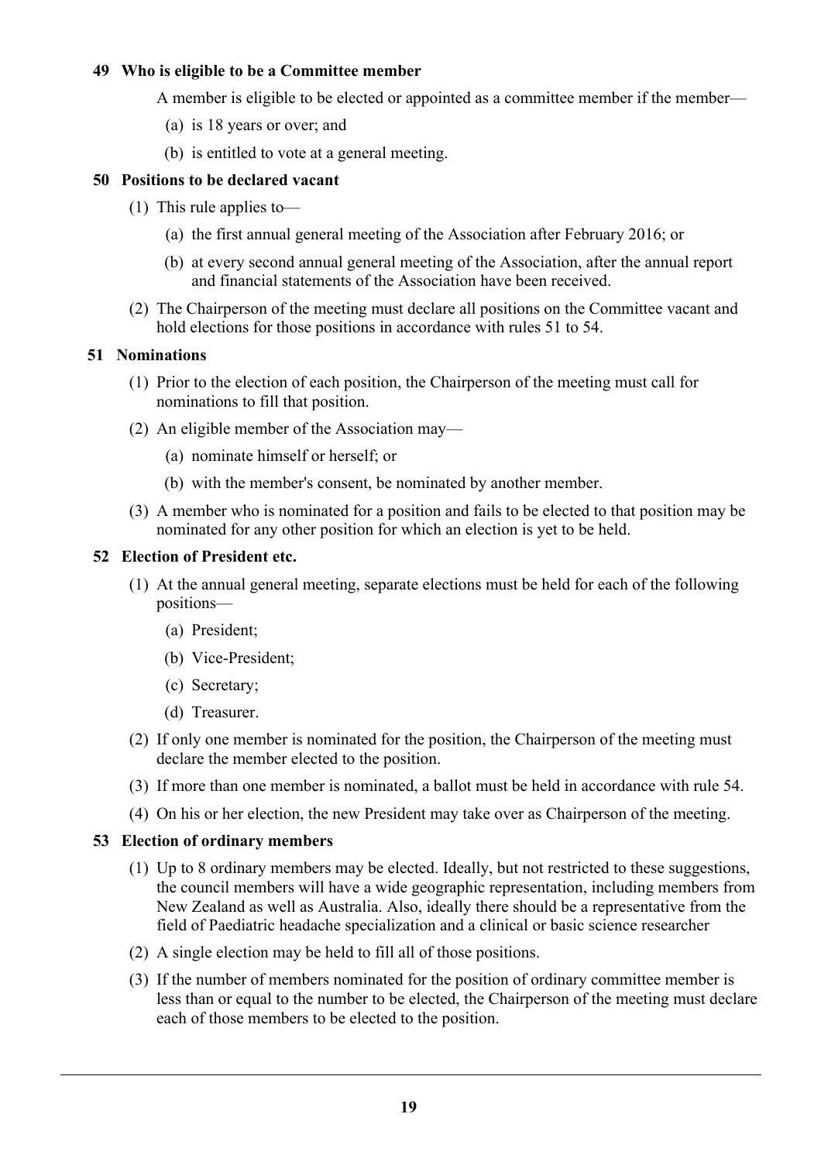## **49 Who is eligible to be a Committee member**

A member is eligible to be elected or appointed as a committee member if the member—

- (a) is 18 years or over; and
- (b) is entitled to vote at a general meeting.

## **50 Positions to be declared vacant**

- (1) This rule applies to—
	- (a) the first annual general meeting of the Association after February 2016; or
	- (b) at every second annual general meeting of the Association, after the annual report and financial statements of the Association have been received.
- (2) The Chairperson of the meeting must declare all positions on the Committee vacant and hold elections for those positions in accordance with rules 51 to 54.

## **51 Nominations**

- (1) Prior to the election of each position, the Chairperson of the meeting must call for nominations to fill that position.
- (2) An eligible member of the Association may—
	- (a) nominate himself or herself; or
	- (b) with the member's consent, be nominated by another member.
- (3) A member who is nominated for a position and fails to be elected to that position may be nominated for any other position for which an election is yet to be held.

## **52 Election of President etc.**

- (1) At the annual general meeting, separate elections must be held for each of the following positions—
	- (a) President;
	- (b) Vice-President;
	- (c) Secretary;
	- (d) Treasurer.
- (2) If only one member is nominated for the position, the Chairperson of the meeting must declare the member elected to the position.
- (3) If more than one member is nominated, a ballot must be held in accordance with rule 54.
- (4) On his or her election, the new President may take over as Chairperson of the meeting.

#### **53 Election of ordinary members**

- (1) Up to 8 ordinary members may be elected. Ideally, but not restricted to these suggestions, the council members will have a wide geographic representation, including members from New Zealand as well as Australia. Also, ideally there should be a representative from the field of Paediatric headache specialization and a clinical or basic science researcher
- (2) A single election may be held to fill all of those positions.
- (3) If the number of members nominated for the position of ordinary committee member is less than or equal to the number to be elected, the Chairperson of the meeting must declare each of those members to be elected to the position.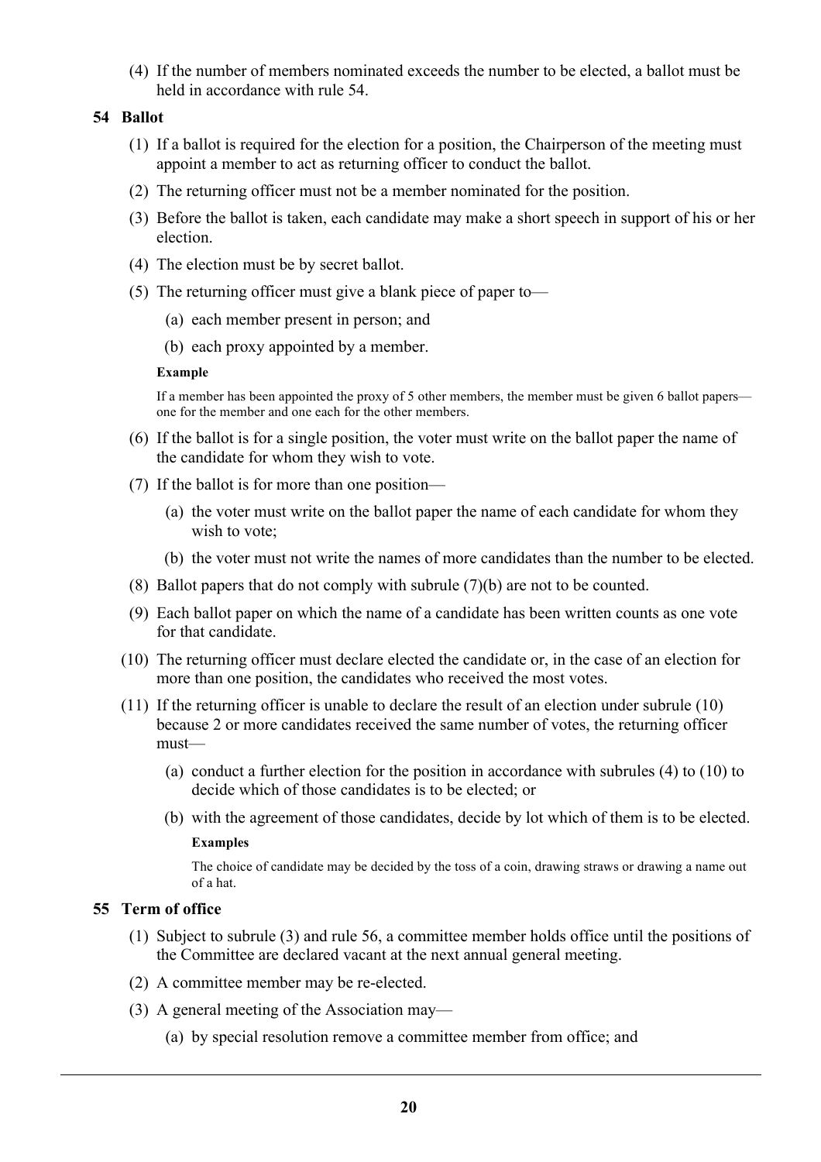(4) If the number of members nominated exceeds the number to be elected, a ballot must be held in accordance with rule 54.

## **54 Ballot**

- (1) If a ballot is required for the election for a position, the Chairperson of the meeting must appoint a member to act as returning officer to conduct the ballot.
- (2) The returning officer must not be a member nominated for the position.
- (3) Before the ballot is taken, each candidate may make a short speech in support of his or her election.
- (4) The election must be by secret ballot.
- (5) The returning officer must give a blank piece of paper to—
	- (a) each member present in person; and
	- (b) each proxy appointed by a member.

#### **Example**

If a member has been appointed the proxy of 5 other members, the member must be given 6 ballot papers one for the member and one each for the other members.

- (6) If the ballot is for a single position, the voter must write on the ballot paper the name of the candidate for whom they wish to vote.
- (7) If the ballot is for more than one position—
	- (a) the voter must write on the ballot paper the name of each candidate for whom they wish to vote;
	- (b) the voter must not write the names of more candidates than the number to be elected.
- (8) Ballot papers that do not comply with subrule (7)(b) are not to be counted.
- (9) Each ballot paper on which the name of a candidate has been written counts as one vote for that candidate.
- (10) The returning officer must declare elected the candidate or, in the case of an election for more than one position, the candidates who received the most votes.
- (11) If the returning officer is unable to declare the result of an election under subrule (10) because 2 or more candidates received the same number of votes, the returning officer must—
	- (a) conduct a further election for the position in accordance with subrules (4) to (10) to decide which of those candidates is to be elected; or
	- (b) with the agreement of those candidates, decide by lot which of them is to be elected.

#### **Examples**

The choice of candidate may be decided by the toss of a coin, drawing straws or drawing a name out of a hat.

## **55 Term of office**

- (1) Subject to subrule (3) and rule 56, a committee member holds office until the positions of the Committee are declared vacant at the next annual general meeting.
- (2) A committee member may be re-elected.
- (3) A general meeting of the Association may—
	- (a) by special resolution remove a committee member from office; and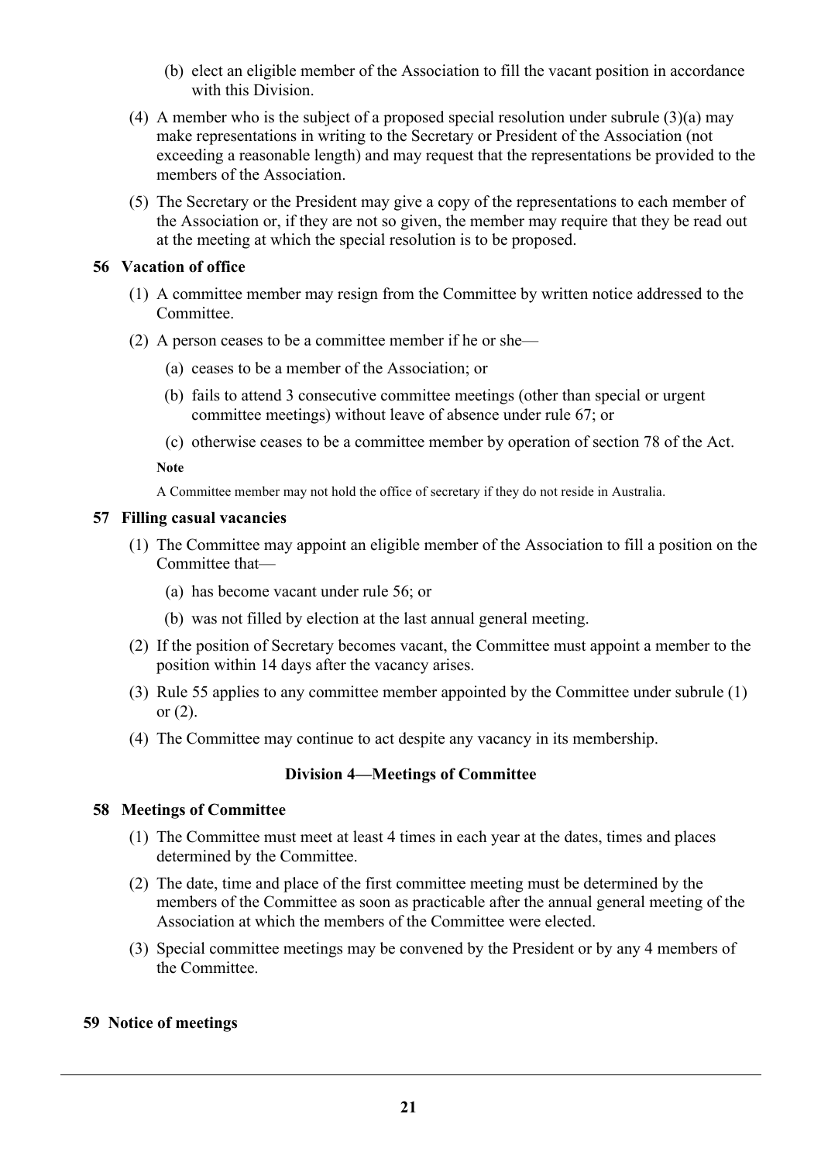- (b) elect an eligible member of the Association to fill the vacant position in accordance with this Division.
- (4) A member who is the subject of a proposed special resolution under subrule (3)(a) may make representations in writing to the Secretary or President of the Association (not exceeding a reasonable length) and may request that the representations be provided to the members of the Association.
- (5) The Secretary or the President may give a copy of the representations to each member of the Association or, if they are not so given, the member may require that they be read out at the meeting at which the special resolution is to be proposed.

## **56 Vacation of office**

- (1) A committee member may resign from the Committee by written notice addressed to the **Committee**
- (2) A person ceases to be a committee member if he or she—
	- (a) ceases to be a member of the Association; or
	- (b) fails to attend 3 consecutive committee meetings (other than special or urgent committee meetings) without leave of absence under rule 67; or
	- (c) otherwise ceases to be a committee member by operation of section 78 of the Act.

**Note**

A Committee member may not hold the office of secretary if they do not reside in Australia.

#### **57 Filling casual vacancies**

- (1) The Committee may appoint an eligible member of the Association to fill a position on the Committee that—
	- (a) has become vacant under rule 56; or
	- (b) was not filled by election at the last annual general meeting.
- (2) If the position of Secretary becomes vacant, the Committee must appoint a member to the position within 14 days after the vacancy arises.
- (3) Rule 55 applies to any committee member appointed by the Committee under subrule (1) or  $(2)$ .
- (4) The Committee may continue to act despite any vacancy in its membership.

## **Division 4—Meetings of Committee**

#### **58 Meetings of Committee**

- (1) The Committee must meet at least 4 times in each year at the dates, times and places determined by the Committee.
- (2) The date, time and place of the first committee meeting must be determined by the members of the Committee as soon as practicable after the annual general meeting of the Association at which the members of the Committee were elected.
- (3) Special committee meetings may be convened by the President or by any 4 members of the Committee.

## **59 Notice of meetings**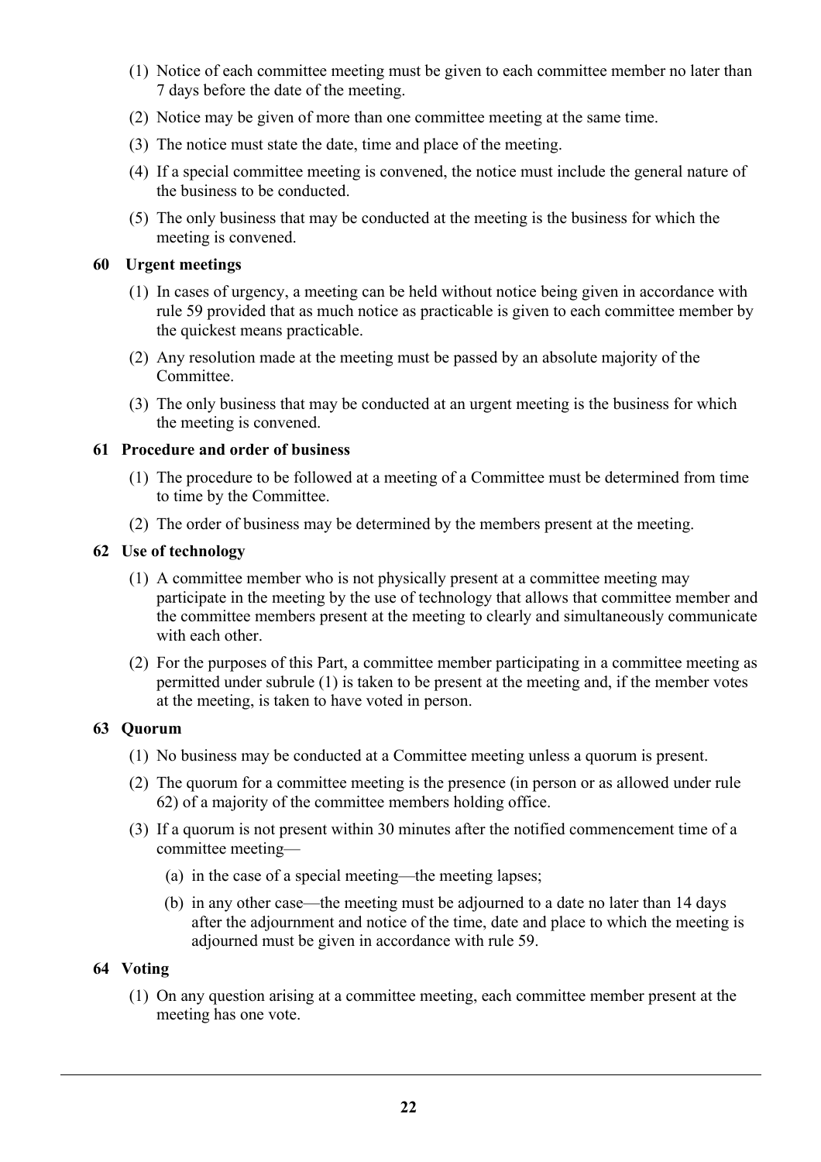- (1) Notice of each committee meeting must be given to each committee member no later than 7 days before the date of the meeting.
- (2) Notice may be given of more than one committee meeting at the same time.
- (3) The notice must state the date, time and place of the meeting.
- (4) If a special committee meeting is convened, the notice must include the general nature of the business to be conducted.
- (5) The only business that may be conducted at the meeting is the business for which the meeting is convened.

## **60 Urgent meetings**

- (1) In cases of urgency, a meeting can be held without notice being given in accordance with rule 59 provided that as much notice as practicable is given to each committee member by the quickest means practicable.
- (2) Any resolution made at the meeting must be passed by an absolute majority of the Committee.
- (3) The only business that may be conducted at an urgent meeting is the business for which the meeting is convened.

## **61 Procedure and order of business**

- (1) The procedure to be followed at a meeting of a Committee must be determined from time to time by the Committee.
- (2) The order of business may be determined by the members present at the meeting.

## **62 Use of technology**

- (1) A committee member who is not physically present at a committee meeting may participate in the meeting by the use of technology that allows that committee member and the committee members present at the meeting to clearly and simultaneously communicate with each other
- (2) For the purposes of this Part, a committee member participating in a committee meeting as permitted under subrule (1) is taken to be present at the meeting and, if the member votes at the meeting, is taken to have voted in person.

## **63 Quorum**

- (1) No business may be conducted at a Committee meeting unless a quorum is present.
- (2) The quorum for a committee meeting is the presence (in person or as allowed under rule 62) of a majority of the committee members holding office.
- (3) If a quorum is not present within 30 minutes after the notified commencement time of a committee meeting—
	- (a) in the case of a special meeting—the meeting lapses;
	- (b) in any other case—the meeting must be adjourned to a date no later than 14 days after the adjournment and notice of the time, date and place to which the meeting is adjourned must be given in accordance with rule 59.

## **64 Voting**

(1) On any question arising at a committee meeting, each committee member present at the meeting has one vote.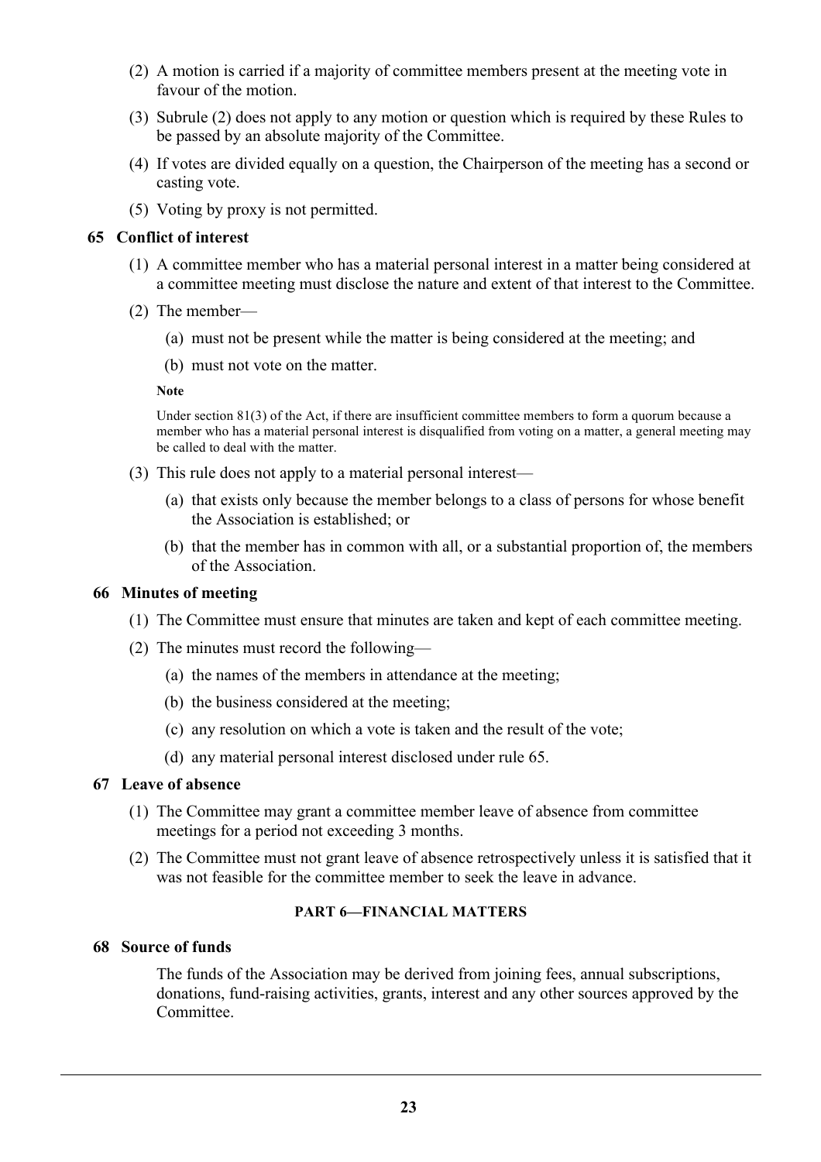- (2) A motion is carried if a majority of committee members present at the meeting vote in favour of the motion.
- (3) Subrule (2) does not apply to any motion or question which is required by these Rules to be passed by an absolute majority of the Committee.
- (4) If votes are divided equally on a question, the Chairperson of the meeting has a second or casting vote.
- (5) Voting by proxy is not permitted.

## **65 Conflict of interest**

- (1) A committee member who has a material personal interest in a matter being considered at a committee meeting must disclose the nature and extent of that interest to the Committee.
- (2) The member—
	- (a) must not be present while the matter is being considered at the meeting; and
	- (b) must not vote on the matter.

#### **Note**

Under section 81(3) of the Act, if there are insufficient committee members to form a quorum because a member who has a material personal interest is disqualified from voting on a matter, a general meeting may be called to deal with the matter.

- (3) This rule does not apply to a material personal interest—
	- (a) that exists only because the member belongs to a class of persons for whose benefit the Association is established; or
	- (b) that the member has in common with all, or a substantial proportion of, the members of the Association.

#### **66 Minutes of meeting**

- (1) The Committee must ensure that minutes are taken and kept of each committee meeting.
- (2) The minutes must record the following—
	- (a) the names of the members in attendance at the meeting;
	- (b) the business considered at the meeting;
	- (c) any resolution on which a vote is taken and the result of the vote;
	- (d) any material personal interest disclosed under rule 65.

## **67 Leave of absence**

- (1) The Committee may grant a committee member leave of absence from committee meetings for a period not exceeding 3 months.
- (2) The Committee must not grant leave of absence retrospectively unless it is satisfied that it was not feasible for the committee member to seek the leave in advance.

#### **PART 6—FINANCIAL MATTERS**

## **68 Source of funds**

The funds of the Association may be derived from joining fees, annual subscriptions, donations, fund-raising activities, grants, interest and any other sources approved by the Committee.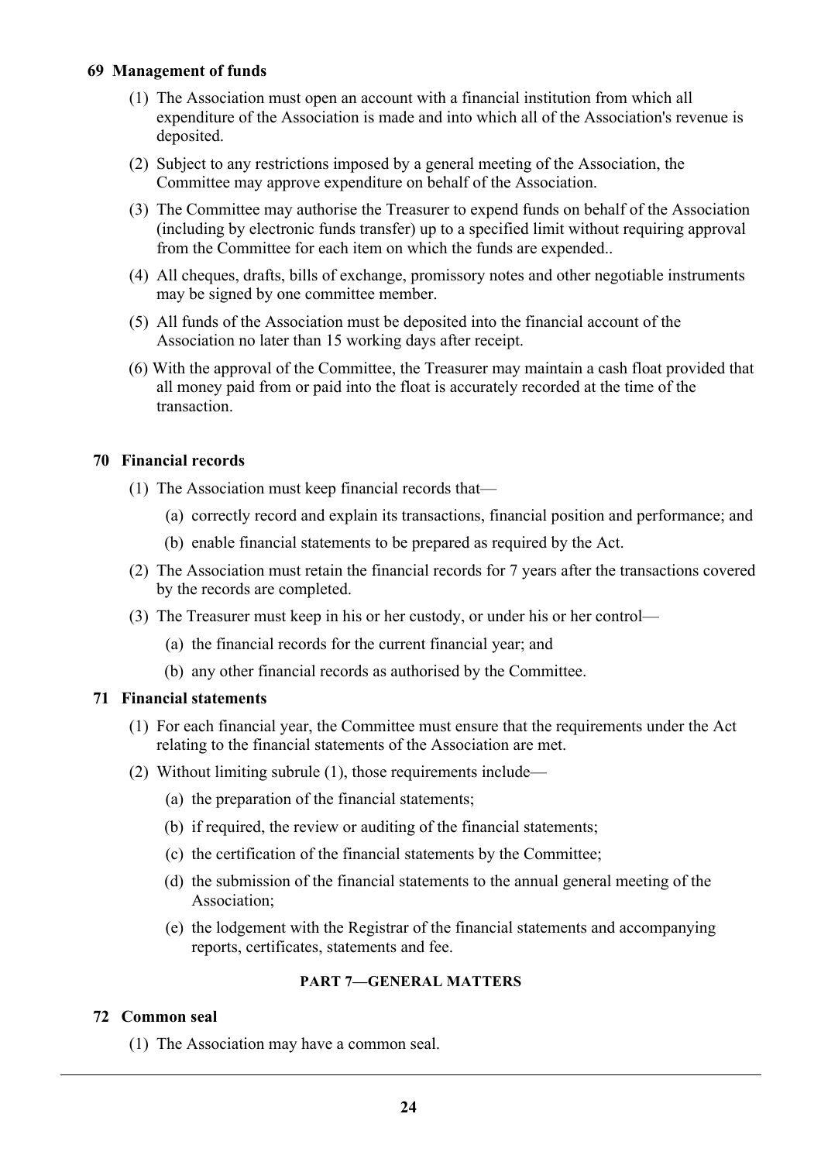## **69 Management of funds**

- (1) The Association must open an account with a financial institution from which all expenditure of the Association is made and into which all of the Association's revenue is deposited.
- (2) Subject to any restrictions imposed by a general meeting of the Association, the Committee may approve expenditure on behalf of the Association.
- (3) The Committee may authorise the Treasurer to expend funds on behalf of the Association (including by electronic funds transfer) up to a specified limit without requiring approval from the Committee for each item on which the funds are expended..
- (4) All cheques, drafts, bills of exchange, promissory notes and other negotiable instruments may be signed by one committee member.
- (5) All funds of the Association must be deposited into the financial account of the Association no later than 15 working days after receipt.
- (6) With the approval of the Committee, the Treasurer may maintain a cash float provided that all money paid from or paid into the float is accurately recorded at the time of the transaction.

## **70 Financial records**

- (1) The Association must keep financial records that—
	- (a) correctly record and explain its transactions, financial position and performance; and
	- (b) enable financial statements to be prepared as required by the Act.
- (2) The Association must retain the financial records for 7 years after the transactions covered by the records are completed.
- (3) The Treasurer must keep in his or her custody, or under his or her control—
	- (a) the financial records for the current financial year; and
	- (b) any other financial records as authorised by the Committee.

#### **71 Financial statements**

- (1) For each financial year, the Committee must ensure that the requirements under the Act relating to the financial statements of the Association are met.
- (2) Without limiting subrule (1), those requirements include—
	- (a) the preparation of the financial statements;
	- (b) if required, the review or auditing of the financial statements;
	- (c) the certification of the financial statements by the Committee;
	- (d) the submission of the financial statements to the annual general meeting of the Association;
	- (e) the lodgement with the Registrar of the financial statements and accompanying reports, certificates, statements and fee.

#### **PART 7—GENERAL MATTERS**

## **72 Common seal**

(1) The Association may have a common seal.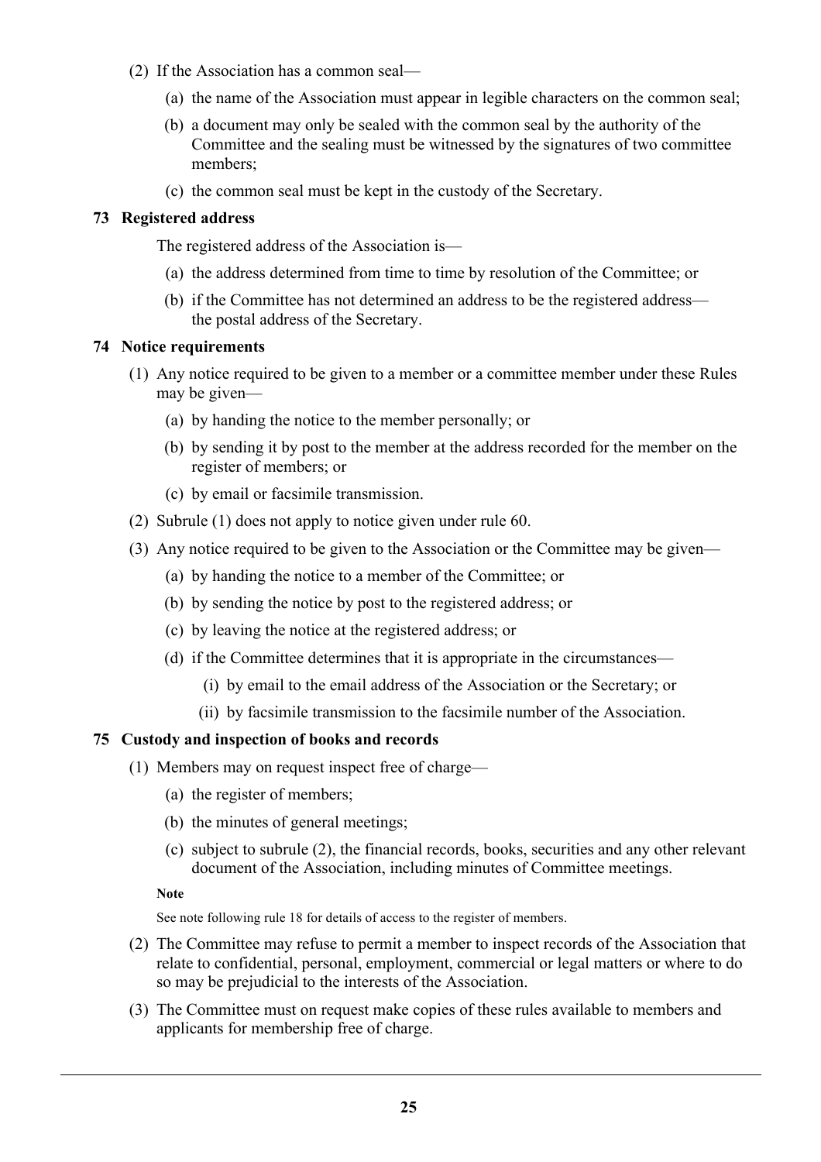- (2) If the Association has a common seal—
	- (a) the name of the Association must appear in legible characters on the common seal;
	- (b) a document may only be sealed with the common seal by the authority of the Committee and the sealing must be witnessed by the signatures of two committee members;
	- (c) the common seal must be kept in the custody of the Secretary.

## **73 Registered address**

The registered address of the Association is—

- (a) the address determined from time to time by resolution of the Committee; or
- (b) if the Committee has not determined an address to be the registered address the postal address of the Secretary.

## **74 Notice requirements**

- (1) Any notice required to be given to a member or a committee member under these Rules may be given—
	- (a) by handing the notice to the member personally; or
	- (b) by sending it by post to the member at the address recorded for the member on the register of members; or
	- (c) by email or facsimile transmission.
- (2) Subrule (1) does not apply to notice given under rule 60.
- (3) Any notice required to be given to the Association or the Committee may be given—
	- (a) by handing the notice to a member of the Committee; or
	- (b) by sending the notice by post to the registered address; or
	- (c) by leaving the notice at the registered address; or
	- (d) if the Committee determines that it is appropriate in the circumstances—
		- (i) by email to the email address of the Association or the Secretary; or
		- (ii) by facsimile transmission to the facsimile number of the Association.

## **75 Custody and inspection of books and records**

- (1) Members may on request inspect free of charge—
	- (a) the register of members;
	- (b) the minutes of general meetings;
	- (c) subject to subrule (2), the financial records, books, securities and any other relevant document of the Association, including minutes of Committee meetings.

**Note**

See note following rule 18 for details of access to the register of members.

- (2) The Committee may refuse to permit a member to inspect records of the Association that relate to confidential, personal, employment, commercial or legal matters or where to do so may be prejudicial to the interests of the Association.
- (3) The Committee must on request make copies of these rules available to members and applicants for membership free of charge.